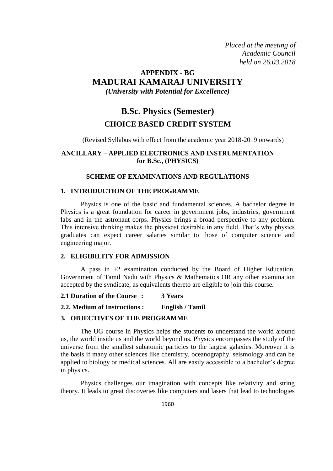*Placed at the meeting of Academic Council held on 26.03.2018*

# **APPENDIX - BG MADURAI KAMARAJ UNIVERSITY**

*(University with Potential for Excellence)*

# **B.Sc. Physics (Semester) CHOICE BASED CREDIT SYSTEM**

(Revised Syllabus with effect from the academic year 2018-2019 onwards)

## **ANCILLARY – APPLIED ELECTRONICS AND INSTRUMENTATION for B.Sc., (PHYSICS)**

## **SCHEME OF EXAMINATIONS AND REGULATIONS**

## **1. INTRODUCTION OF THE PROGRAMME**

Physics is one of the basic and fundamental sciences. A bachelor degree in Physics is a great foundation for career in government jobs, industries, government labs and in the astronaut corps. Physics brings a broad perspective to any problem. This intensive thinking makes the physicist desirable in any field. That's why physics graduates can expect career salaries similar to those of computer science and engineering major.

#### **2. ELIGIBILITY FOR ADMISSION**

A pass in +2 examination conducted by the Board of Higher Education, Government of Tamil Nadu with Physics & Mathematics OR any other examination accepted by the syndicate, as equivalents thereto are eligible to join this course.

**2.1 Duration of the Course : 3 Years** 

## **2.2. Medium of Instructions : English / Tamil**

#### **3. OBJECTIVES OF THE PROGRAMME**

The UG course in Physics helps the students to understand the world around us, the world inside us and the world beyond us. Physics encompasses the study of the universe from the smallest subatomic particles to the largest galaxies. Moreover it is the basis if many other sciences like chemistry, oceanography, seismology and can be applied to biology or medical sciences. All are easily accessible to a bachelor's degree in physics.

Physics challenges our imagination with concepts like relativity and string theory. It leads to great discoveries like computers and lasers that lead to technologies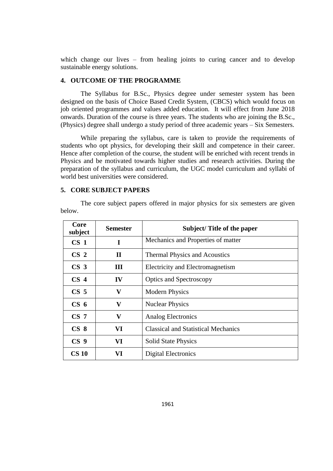which change our lives – from healing joints to curing cancer and to develop sustainable energy solutions.

#### **4. OUTCOME OF THE PROGRAMME**

The Syllabus for B.Sc., Physics degree under semester system has been designed on the basis of Choice Based Credit System, (CBCS) which would focus on job oriented programmes and values added education. It will effect from June 2018 onwards. Duration of the course is three years. The students who are joining the B.Sc., (Physics) degree shall undergo a study period of three academic years – Six Semesters.

While preparing the syllabus, care is taken to provide the requirements of students who opt physics, for developing their skill and competence in their career. Hence after completion of the course, the student will be enriched with recent trends in Physics and be motivated towards higher studies and research activities. During the preparation of the syllabus and curriculum, the UGC model curriculum and syllabi of world best universities were considered.

#### **5. CORE SUBJECT PAPERS**

The core subject papers offered in major physics for six semesters are given below.

| Core<br>subject | <b>Semester</b> | Subject/Title of the paper                 |
|-----------------|-----------------|--------------------------------------------|
| CS <sub>1</sub> | I               | Mechanics and Properties of matter         |
| CS <sub>2</sub> | $\mathbf H$     | <b>Thermal Physics and Acoustics</b>       |
| CS <sub>3</sub> | Ш               | Electricity and Electromagnetism           |
| CS <sub>4</sub> | IV              | <b>Optics and Spectroscopy</b>             |
| CS <sub>5</sub> | $\mathbf{V}$    | <b>Modern Physics</b>                      |
| CS <sub>6</sub> | $\mathbf{V}$    | <b>Nuclear Physics</b>                     |
| CS <sub>7</sub> | V               | Analog Electronics                         |
| CS <sub>8</sub> | VI              | <b>Classical and Statistical Mechanics</b> |
| CS <sub>9</sub> | VI              | <b>Solid State Physics</b>                 |
| <b>CS 10</b>    | VI              | <b>Digital Electronics</b>                 |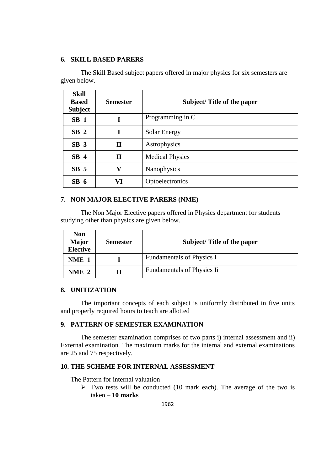## **6. SKILL BASED PARERS**

The Skill Based subject papers offered in major physics for six semesters are given below.

| <b>Skill</b><br><b>Based</b><br><b>Subject</b> | <b>Semester</b> | Subject/Title of the paper |
|------------------------------------------------|-----------------|----------------------------|
| SB <sub>1</sub>                                | I               | Programming in C           |
| SB <sub>2</sub>                                | I               | Solar Energy               |
| SB <sub>3</sub>                                | $\mathbf H$     | Astrophysics               |
| SB <sub>4</sub>                                | $\mathbf H$     | <b>Medical Physics</b>     |
| SB <sub>5</sub>                                | v               | Nanophysics                |
| SB <sub>6</sub>                                | VI              | Optoelectronics            |

## **7. NON MAJOR ELECTIVE PARERS (NME)**

The Non Major Elective papers offered in Physics department for students studying other than physics are given below.

| <b>Non</b><br><b>Major</b><br><b>Elective</b> | <b>Semester</b> | Subject/Title of the paper |
|-----------------------------------------------|-----------------|----------------------------|
| NME 1                                         |                 | Fundamentals of Physics I  |
| NME 2                                         |                 | Fundamentals of Physics Ii |

#### **8. UNITIZATION**

The important concepts of each subject is uniformly distributed in five units and properly required hours to teach are allotted

## **9. PATTERN OF SEMESTER EXAMINATION**

The semester examination comprises of two parts i) internal assessment and ii) External examination. The maximum marks for the internal and external examinations are 25 and 75 respectively.

#### **10. THE SCHEME FOR INTERNAL ASSESSMENT**

The Pattern for internal valuation

 $\triangleright$  Two tests will be conducted (10 mark each). The average of the two is taken – **10 marks**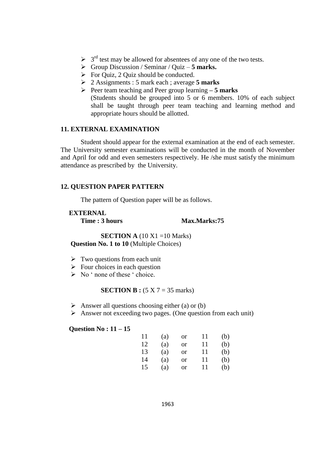- $\geq 3^{rd}$  test may be allowed for absentees of any one of the two tests.
- Group Discussion / Seminar / Quiz **5 marks.**
- $\triangleright$  For Quiz, 2 Quiz should be conducted.
- 2 Assignments : 5 mark each ; average **5 marks**
- Peer team teaching and Peer group learning **– 5 marks** (Students should be grouped into 5 or 6 members. 10% of each subject shall be taught through peer team teaching and learning method and appropriate hours should be allotted.

#### **11. EXTERNAL EXAMINATION**

Student should appear for the external examination at the end of each semester. The University semester examinations will be conducted in the month of November and April for odd and even semesters respectively. He /she must satisfy the minimum attendance as prescribed by the University.

## **12. QUESTION PAPER PATTERN**

The pattern of Question paper will be as follows.

#### **EXTERNAL Time : 3 hours Max.Marks:75**

**SECTION A** (10 X1 =10 Marks) **Question No. 1 to 10** (Multiple Choices)

- $\triangleright$  Two questions from each unit
- $\triangleright$  Four choices in each question
- $\triangleright$  No ' none of these ' choice.

#### **SECTION B :**  $(5 \times 7 = 35 \text{ marks})$

- $\triangleright$  Answer all questions choosing either (a) or (b)
- $\triangleright$  Answer not exceeding two pages. (One question from each unit)

#### **Question No : 11 – 15**

| 11 | (a) | or            | 11 | (b) |
|----|-----|---------------|----|-----|
| 12 | (a) | or            | 11 | (b) |
| 13 | (a) | <b>or</b>     | 11 | (b) |
| 14 | (a) | or            | 11 | (b) |
| 15 | (a) | <sub>or</sub> | 11 | (b) |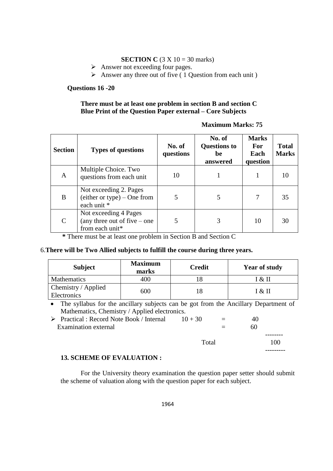## **SECTION C** (3 X 10 = 30 marks)

- $\triangleright$  Answer not exceeding four pages.
- $\triangleright$  Answer any three out of five ( 1 Question from each unit )

## **Questions 16 -20**

## **There must be at least one problem in section B and section C Blue Print of the Question Paper external – Core Subjects**

## **Maximum Marks: 75**

---------

| <b>Section</b>              | <b>Types of questions</b>                                                  | No. of<br>questions | No. of<br><b>Questions to</b><br>be<br>answered | <b>Marks</b><br><b>For</b><br>Each<br>question | <b>Total</b><br><b>Marks</b> |
|-----------------------------|----------------------------------------------------------------------------|---------------------|-------------------------------------------------|------------------------------------------------|------------------------------|
| A                           | Multiple Choice. Two<br>questions from each unit                           | 10                  |                                                 |                                                | 10                           |
| B                           | Not exceeding 2. Pages<br>$(either or type) - One from$<br>each unit *     | 5                   | 5                                               | 7                                              | 35                           |
| $\mathcal{C}_{\mathcal{C}}$ | Not exceeding 4 Pages<br>(any three out of five $-$ one<br>from each unit* | 5                   | 3                                               | 10                                             | 30                           |

 **\*** There must be at least one problem in Section B and Section C

## 6.**There will be Two Allied subjects to fulfill the course during three years.**

| <b>Subject</b>                     | <b>Maximum</b><br>marks | <b>Credit</b> | <b>Year of study</b> |
|------------------------------------|-------------------------|---------------|----------------------|
| <b>Mathematics</b>                 | 400                     |               | [ & II               |
| Chemistry / Applied<br>Electronics | 600                     |               | I & II               |

 The syllabus for the ancillary subjects can be got from the Ancillary Department of Mathematics, Chemistry / Applied electronics.

| $\triangleright$ Practical : Record Note Book / Internal | $10 + 30$ | $=$ | 40 |     |
|----------------------------------------------------------|-----------|-----|----|-----|
| Examination external                                     |           |     | 60 |     |
|                                                          |           |     |    |     |
|                                                          | Total     |     |    | 100 |

## **13. SCHEME OF EVALUATION :**

For the University theory examination the question paper setter should submit the scheme of valuation along with the question paper for each subject.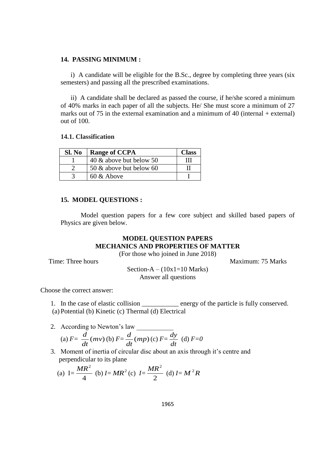#### **14. PASSING MINIMUM :**

i) A candidate will be eligible for the B.Sc., degree by completing three years (six semesters) and passing all the prescribed examinations.

ii) A candidate shall be declared as passed the course, if he/she scored a minimum of 40% marks in each paper of all the subjects. He/ She must score a minimum of 27 marks out of 75 in the external examination and a minimum of 40 (internal  $+$  external) out of 100.

#### **14.1. Classification**

| Sl. No | <b>Range of CCPA</b>    | <b>Class</b> |
|--------|-------------------------|--------------|
|        | 40 & above but below 50 | ш            |
|        | 50 & above but below 60 |              |
|        | 60 & Above              |              |

#### **15. MODEL QUESTIONS :**

Model question papers for a few core subject and skilled based papers of Physics are given below.

## **MODEL QUESTION PAPERS MECHANICS AND PROPERTIES OF MATTER**

(For those who joined in June 2018)

Time: Three hours **Maximum: 75 Marks** 

Section-A –  $(10x1=10 \text{ Marks})$ Answer all questions

Choose the correct answer:

- 1. In the case of elastic collision \_\_\_\_\_\_\_\_\_\_ energy of the particle is fully conserved. (a) Potential (b) Kinetic (c) Thermal (d) Electrical
- 2. According to Newton's law (a)  $F = \frac{u}{\hbar}$  (*mv*) *dt*  $\frac{d}{dx}$ (*mv*) (b)  $F = \frac{d}{dx}$ (*mp*) *dt*  $\frac{d}{dx}$ (*mp*)(c) *F*= *dt*  $\frac{dy}{dx}$  (d)  $F=0$
- 3. Moment of inertia of circular disc about an axis through it's centre and perpendicular to its plane

(a) 
$$
I = \frac{MR^2}{4}
$$
 (b)  $I = MR^2$  (c)  $I = \frac{MR^2}{2}$  (d)  $I = M^2R$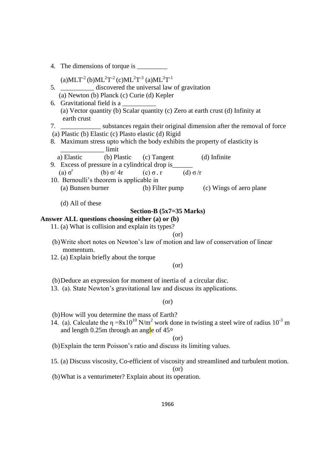| (a)MLT <sup>-2</sup> (b)ML <sup>2</sup> T <sup>-2</sup> (c)ML <sup>2</sup> T <sup>-3</sup> (a)ML <sup>2</sup> T <sup>-1</sup>                 |
|-----------------------------------------------------------------------------------------------------------------------------------------------|
| 5.<br>discovered the universal law of gravitation                                                                                             |
| (a) Newton (b) Planck (c) Curie (d) Kepler                                                                                                    |
| 6. Gravitational field is a                                                                                                                   |
| (a) Vector quantity (b) Scalar quantity (c) Zero at earth crust (d) Infinity at<br>earth crust                                                |
| 7. ________________ substances regain their original dimension after the removal of force                                                     |
| (a) Plastic (b) Elastic (c) Plasto elastic (d) Rigid                                                                                          |
| 8. Maximum stress upto which the body exhibits the property of elasticity is<br>limit                                                         |
| a) Elastic<br>(b) Plastic<br>(c) Tangent<br>(d) Infinite                                                                                      |
| 9. Excess of pressure in a cylindrical drop is _______                                                                                        |
| (d) σ/r<br>(a) $\sigma^r$<br>(b) $\sigma$ / 4r<br>$(c) \sigma r$                                                                              |
| 10. Bernoulli's theorem is applicable in                                                                                                      |
| (b) Filter pump (c) Wings of aero plane<br>(a) Bunsen burner                                                                                  |
|                                                                                                                                               |
| (d) All of these                                                                                                                              |
| Section-B $(5x7=35 \text{ Marks})$                                                                                                            |
| Answer ALL questions choosing either (a) or (b)                                                                                               |
| 11. (a) What is collision and explain its types?                                                                                              |
| (or)                                                                                                                                          |
| (b) Write short notes on Newton's law of motion and law of conservation of linear<br>momentum.                                                |
| 12. (a) Explain briefly about the torque                                                                                                      |
| (or)                                                                                                                                          |
|                                                                                                                                               |
| (b) Deduce an expression for moment of inertia of a circular disc.<br>13. (a). State Newton's gravitational law and discuss its applications. |
|                                                                                                                                               |
| (or)                                                                                                                                          |
| (b) How will you determine the mass of Earth?                                                                                                 |
| 14. (a). Calculate the $\eta = 8x10^{10}$ N/m <sup>2</sup> work done in twisting a steel wire of radius 10 <sup>-3</sup> m                    |
| and length 0.25m through an angle of $45^{\circ}$                                                                                             |
| (or)                                                                                                                                          |
| (b) Explain the term Poisson's ratio and discuss its limiting values.                                                                         |

15. (a) Discuss viscosity, Co-efficient of viscosity and streamlined and turbulent motion.

(or)

(b)What is a venturimeter? Explain about its operation.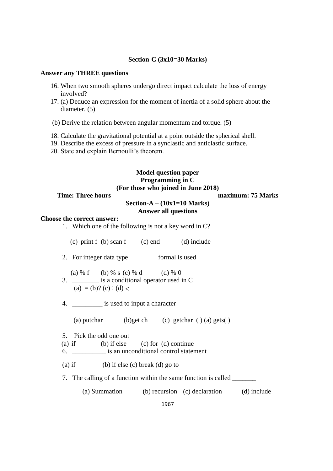#### **Section-C (3x10=30 Marks)**

#### **Answer any THREE questions**

- 16. When two smooth spheres undergo direct impact calculate the loss of energy involved?
- 17. (a) Deduce an expression for the moment of inertia of a solid sphere about the diameter. (5)
- (b) Derive the relation between angular momentum and torque. (5)
- 18. Calculate the gravitational potential at a point outside the spherical shell.
- 19. Describe the excess of pressure in a synclastic and anticlastic surface.
- 20. State and explain Bernoulli's theorem.

## **Model question paper Programming in C (For those who joined in June 2018)**

## **Time: Three hours maximum: 75 Marks**

## **Section-A – (10x1=10 Marks) Answer all questions**

#### **Choose the correct answer:**

| 1. | Which one of the following is not a key word in C? |  |  |  |
|----|----------------------------------------------------|--|--|--|
|    |                                                    |  |  |  |

- (c) print f (b) scan f (c) end (d) include
- 2. For integer data type \_\_\_\_\_\_\_\_ formal is used
- (a) % f (b) % s (c) % d (d) % 0 3. \_\_\_\_\_\_\_\_ is a conditional operator used in C
	- (a) = (b)? (c) ! (d) <
- 4. \_\_\_\_\_\_\_\_\_ is used to input a character

(a) putchar (b)get ch (c) getchar  $( ) (a)$  gets $( )$ 

- 5. Pick the odd one out
- (a) if (b) if else (c) for (d) continue
- 6. \_\_\_\_\_\_\_\_\_\_ is an unconditional control statement

(a) if (b) if else (c) break (d) go to

7. The calling of a function within the same function is called

(a) Summation (b) recursion (c) declaration (d) include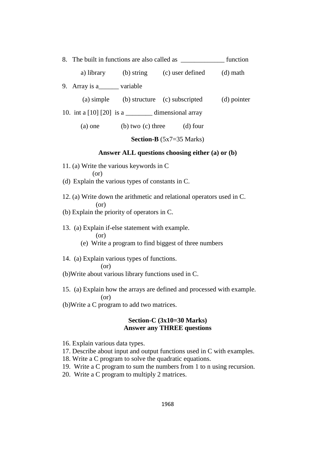|                                |  |                                                 | function    |
|--------------------------------|--|-------------------------------------------------|-------------|
|                                |  | a) library (b) string (c) user defined          | $(d)$ math  |
| 9. Array is a________ variable |  |                                                 |             |
|                                |  | (a) simple (b) structure (c) subscripted        | (d) pointer |
|                                |  |                                                 |             |
| $(a)$ one                      |  | (b) two $(c)$ three $(d)$ four                  |             |
|                                |  | <b>Section-B</b> $(5x7=35$ Marks)               |             |
|                                |  | Answer ALL questions choosing either (a) or (b) |             |

- 11. (a) Write the various keywords in C (or)
- (d) Explain the various types of constants in C.
- 12. (a) Write down the arithmetic and relational operators used in C. (or)
- (b) Explain the priority of operators in C.
- 13. (a) Explain if-else statement with example. (or)
	- (e) Write a program to find biggest of three numbers
- 14. (a) Explain various types of functions.

#### (or)

- (b)Write about various library functions used in C.
- 15. (a) Explain how the arrays are defined and processed with example. (or)
- (b)Write a C program to add two matrices.

## **Section-C (3x10=30 Marks) Answer any THREE questions**

- 16. Explain various data types.
- 17. Describe about input and output functions used in C with examples.
- 18. Write a C program to solve the quadratic equations.
- 19. Write a C program to sum the numbers from 1 to n using recursion.
- 20. Write a C program to multiply 2 matrices.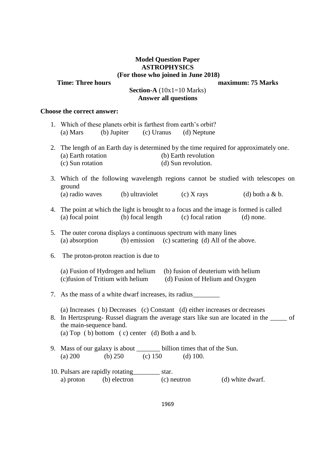## **Model Question Paper ASTROPHYSICS (For those who joined in June 2018)**

**Time: Three hours maximum: 75 Marks** 

# **Section-A** (10x1=10 Marks) **Answer all questions**

## **Choose the correct answer:**

|    | 1. Which of these planets orbit is farthest from earth's orbit?<br>(b) Jupiter (c) Uranus<br>(a) Mars<br>(d) Neptune                                                                                                                                                        |  |  |  |  |
|----|-----------------------------------------------------------------------------------------------------------------------------------------------------------------------------------------------------------------------------------------------------------------------------|--|--|--|--|
|    | 2. The length of an Earth day is determined by the time required for approximately one.<br>(a) Earth rotation<br>(b) Earth revolution<br>(c) Sun rotation<br>(d) Sun revolution.                                                                                            |  |  |  |  |
|    | 3. Which of the following wavelength regions cannot be studied with telescopes on<br>ground<br>(a) radio waves (b) ultraviolet (c) X rays<br>$(d)$ both a & b.                                                                                                              |  |  |  |  |
|    | 4. The point at which the light is brought to a focus and the image is formed is called<br>(b) focal length<br>(a) focal point<br>(c) focal ration<br>$(d)$ none.                                                                                                           |  |  |  |  |
|    | 5. The outer corona displays a continuous spectrum with many lines<br>(a) absorption (b) emission (c) scattering (d) All of the above.                                                                                                                                      |  |  |  |  |
| 6. | The proton-proton reaction is due to                                                                                                                                                                                                                                        |  |  |  |  |
|    | (a) Fusion of Hydrogen and helium<br>(b) fusion of deuterium with helium<br>(c) fusion of Tritium with helium<br>(d) Fusion of Helium and Oxygen                                                                                                                            |  |  |  |  |
|    | 7. As the mass of a white dwarf increases, its radius                                                                                                                                                                                                                       |  |  |  |  |
|    | (a) Increases (b) Decreases (c) Constant (d) either increases or decreases<br>8. In Hertzsprung-Russel diagram the average stars like sun are located in the _____ of<br>the main-sequence band.<br>(a) Top $\left($ b) bottom $\left($ c) center $\left($ d) Both a and b. |  |  |  |  |
|    | 9. Mass of our galaxy is about ________ billion times that of the Sun.<br>(b) $250$ (c) $150$<br>(a) 200<br>$(d)$ 100.                                                                                                                                                      |  |  |  |  |
|    | 10. Pulsars are rapidly rotating____________ star.<br>a) proton<br>(b) electron (c) neutron<br>(d) white dwarf.                                                                                                                                                             |  |  |  |  |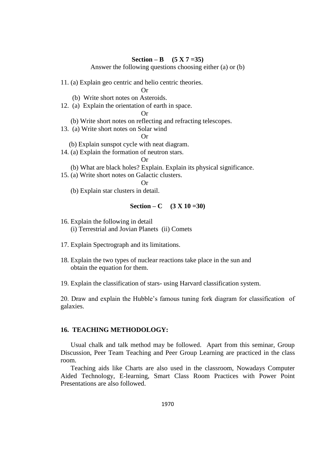#### **Section – B** (5 X 7 = 35)

Answer the following questions choosing either (a) or (b)

11. (a) Explain geo centric and helio centric theories.

 $Or$ 

- (b) Write short notes on Asteroids.
- 12. (a) Explain the orientation of earth in space.

Or

- (b) Write short notes on reflecting and refracting telescopes.
- 13. (a) Write short notes on Solar wind

Or

- (b) Explain sunspot cycle with neat diagram.
- 14. (a) Explain the formation of neutron stars.

Or

- (b) What are black holes? Explain. Explain its physical significance.
- 15. (a) Write short notes on Galactic clusters.

Or

(b) Explain star clusters in detail.

## **Section – C** (3 X 10 =30)

- 16. Explain the following in detail (i) Terrestrial and Jovian Planets (ii) Comets
- 17. Explain Spectrograph and its limitations.
- 18. Explain the two types of nuclear reactions take place in the sun and obtain the equation for them.
- 19. Explain the classification of stars- using Harvard classification system.

20. Draw and explain the Hubble's famous tuning fork diagram for classification of galaxies.

## **16. TEACHING METHODOLOGY:**

Usual chalk and talk method may be followed. Apart from this seminar, Group Discussion, Peer Team Teaching and Peer Group Learning are practiced in the class room.

Teaching aids like Charts are also used in the classroom, Nowadays Computer Aided Technology, E-learning, Smart Class Room Practices with Power Point Presentations are also followed.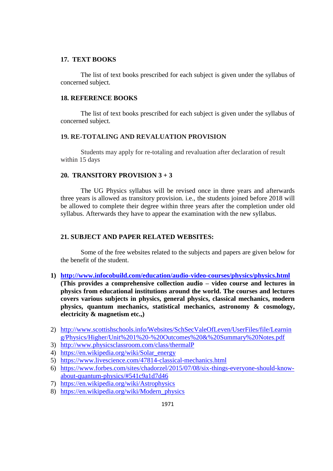## **17. TEXT BOOKS**

The list of text books prescribed for each subject is given under the syllabus of concerned subject.

## **18. REFERENCE BOOKS**

The list of text books prescribed for each subject is given under the syllabus of concerned subject.

#### **19. RE-TOTALING AND REVALUATION PROVISION**

Students may apply for re-totaling and revaluation after declaration of result within 15 days

## **20. TRANSITORY PROVISION 3 + 3**

The UG Physics syllabus will be revised once in three years and afterwards three years is allowed as transitory provision. i.e., the students joined before 2018 will be allowed to complete their degree within three years after the completion under old syllabus. Afterwards they have to appear the examination with the new syllabus.

## **21. SUBJECT AND PAPER RELATED WEBSITES:**

Some of the free websites related to the subjects and papers are given below for the benefit of the student.

**1) <http://www.infocobuild.com/education/audio-video-courses/physics/physics.html>**

**(This provides a comprehensive collection audio – video course and lectures in physics from educational institutions around the world. The courses and lectures covers various subjects in physics, general physics, classical mechanics, modern physics, quantum mechanics, statistical mechanics, astronomy & cosmology, electricity & magnetism etc.,)**

- 2) [http://www.scottishschools.info/Websites/SchSecValeOfLeven/UserFiles/file/Learnin](http://www.scottishschools.info/Websites/SchSecValeOfLeven/UserFiles/file/Learning/Physics/Higher/Unit%201%20-%20Outcomes%20&%20Summary%20Notes.pdf) [g/Physics/Higher/Unit%201%20-%20Outcomes%20&%20Summary%20Notes.pdf](http://www.scottishschools.info/Websites/SchSecValeOfLeven/UserFiles/file/Learning/Physics/Higher/Unit%201%20-%20Outcomes%20&%20Summary%20Notes.pdf)
- 3) <http://www.physicsclassroom.com/class/thermalP>
- 4) [https://en.wikipedia.org/wiki/Solar\\_energy](https://en.wikipedia.org/wiki/Solar_energy)
- 5) <https://www.livescience.com/47814-classical-mechanics.html>
- 6) [https://www.forbes.com/sites/chadorzel/2015/07/08/six-things-everyone-should-know](https://www.forbes.com/sites/chadorzel/2015/07/08/six-things-everyone-should-know-about-quantum-physics/#541c9a1d7d46)[about-quantum-physics/#541c9a1d7d46](https://www.forbes.com/sites/chadorzel/2015/07/08/six-things-everyone-should-know-about-quantum-physics/#541c9a1d7d46)
- 7) <https://en.wikipedia.org/wiki/Astrophysics>
- 8) [https://en.wikipedia.org/wiki/Modern\\_physics](https://en.wikipedia.org/wiki/Modern_physics)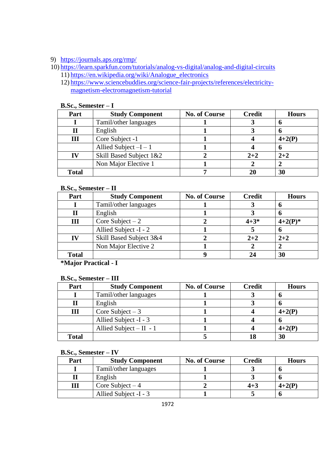# 9) <https://journals.aps.org/rmp/>

- 10) <https://learn.sparkfun.com/tutorials/analog-vs-digital/analog-and-digital-circuits> 11) [https://en.wikipedia.org/wiki/Analogue\\_electronics](https://en.wikipedia.org/wiki/Analogue_electronics)
	- 12) [https://www.sciencebuddies.org/science-fair-projects/references/electricity](https://www.sciencebuddies.org/science-fair-projects/references/electricity-magnetism-electromagnetism-tutorial)[magnetism-electromagnetism-tutorial](https://www.sciencebuddies.org/science-fair-projects/references/electricity-magnetism-electromagnetism-tutorial)

| Part         | <b>Study Component</b>  | <b>No. of Course</b> | <b>Credit</b> | <b>Hours</b> |
|--------------|-------------------------|----------------------|---------------|--------------|
|              | Tamil/other languages   |                      |               |              |
| п            | English                 |                      |               |              |
| Ш            | Core Subject -1         |                      |               | $4+2(P)$     |
|              | Allied Subject $-I - 1$ |                      |               |              |
| IV           | Skill Based Subject 1&2 |                      | $2 + 2$       | $2 + 2$      |
|              | Non Major Elective 1    |                      |               |              |
| <b>Total</b> |                         |                      | 20            | 30           |

#### **B.Sc., Semester – I**

## **B.Sc., Semester – II**

| Part         | <b>Study Component</b>  | <b>No. of Course</b> | <b>Credit</b> | <b>Hours</b> |  |  |  |
|--------------|-------------------------|----------------------|---------------|--------------|--|--|--|
|              | Tamil/other languages   |                      |               |              |  |  |  |
| П            | English                 | o                    |               |              |  |  |  |
| Ш            | Core Subject $-2$       |                      | $4 + 3*$      | $4+2(P)^*$   |  |  |  |
|              | Allied Subject -I - 2   |                      |               | o            |  |  |  |
| IV           | Skill Based Subject 3&4 |                      | $2 + 2$       | $2 + 2$      |  |  |  |
|              | Non Major Elective 2    |                      |               |              |  |  |  |
| <b>Total</b> |                         |                      |               | 30           |  |  |  |

**\*Major Practical - I**

#### **B.Sc., Semester – III**

| Part         | <b>Study Component</b>   | <b>No. of Course</b> | <b>Credit</b> | <b>Hours</b> |
|--------------|--------------------------|----------------------|---------------|--------------|
|              | Tamil/other languages    |                      |               |              |
|              | English                  |                      |               |              |
| Ш            | Core Subject $-3$        |                      |               | $4+2(P)$     |
|              | Allied Subject -I - 3    |                      |               |              |
|              | Allied Subject $-II - 1$ |                      |               | $4+2(P)$     |
| <b>Total</b> |                          |                      |               | 30           |

## **B.Sc., Semester – IV**

| Part | <b>Study Component</b> | <b>No. of Course</b> | <b>Credit</b> | <b>Hours</b> |
|------|------------------------|----------------------|---------------|--------------|
|      | Tamil/other languages  |                      |               |              |
|      | English                |                      |               |              |
|      | Core Subject $-4$      |                      | $4 + 3$       | $4+2(P)$     |
|      | Allied Subject -I - 3  |                      |               |              |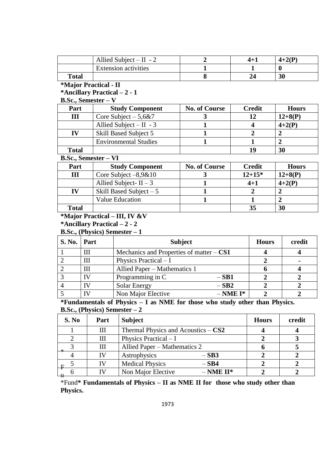|              | Allied Subject $-II -2$     | $4+$ . | $4+2(P)$ |
|--------------|-----------------------------|--------|----------|
|              | <b>Extension activities</b> |        |          |
| <b>Total</b> |                             |        | 30       |

# **\*Major Practical - II**

**\*Ancillary Practical – 2 - 1**

## **B.Sc., Semester – V**

| Part         | <b>Study Component</b>       | <b>No. of Course</b> | <b>Credit</b> | <b>Hours</b> |
|--------------|------------------------------|----------------------|---------------|--------------|
| Ш            | Core Subject $-5,6&7$        |                      | 12            | $12+8(P)$    |
|              | Allied Subject $- II - 3$    |                      |               | $4+2(P)$     |
| IV           | Skill Based Subject 5        |                      |               |              |
|              | <b>Environmental Studies</b> |                      |               |              |
| <b>Total</b> |                              |                      | 1 G           | 30           |

## **B.Sc., Semester – VI**

| Part         | <b>Study Component</b>   | <b>No. of Course</b> | <b>Credit</b> | <b>Hours</b> |
|--------------|--------------------------|----------------------|---------------|--------------|
| Ш            | Core Subject $-8,9&10$   |                      | $12 + 15*$    | $12+8(P)$    |
|              | Allied Subject- $II - 3$ |                      | $4 + 1$       | $4+2(P)$     |
| IV           | Skill Based Subject $-5$ |                      |               |              |
|              | <b>Value Education</b>   |                      |               |              |
| <b>Total</b> |                          |                      | 35            | 30           |

# **\*Major Practical – III, IV &V**

## **\*Ancillary Practical – 2 - 2**

**B.Sc., (Physics) Semester – 1**

| <b>S. No.</b> | Part | <b>Subject</b>                             | <b>Hours</b> | credit |
|---------------|------|--------------------------------------------|--------------|--------|
|               | Ш    | Mechanics and Properties of matter $-$ CS1 |              |        |
|               | Ш    | Physics Practical $-I$                     |              |        |
|               | III  | Allied Paper - Mathematics 1               |              |        |
|               | IV   | Programming in C<br>$-SB1$                 |              |        |
|               | ΙV   | $-SB2$<br>Solar Energy                     |              |        |
|               | ľ٧   | Non Major Elective<br>$-$ NME I*           |              |        |

**\*Fundamentals of Physics – I as NME for those who study other than Physics. B.Sc., (Physics) Semester – 2**

| S. No | Part | <b>Subject</b>                        | <b>Hours</b> | credit |
|-------|------|---------------------------------------|--------------|--------|
|       | Ш    | Thermal Physics and Acoustics $-$ CS2 |              |        |
|       | Ш    | Physics Practical $-I$                |              |        |
|       | Ш    | Allied Paper – Mathematics 2          |              |        |
|       | IV   | Astrophysics<br>$-SB3$                |              |        |
| ΗF    | IV   | <b>Medical Physics</b><br>$-SB4$      |              |        |
|       | IΜ   | Non Major Elective<br>$-$ NME II*     |              |        |

\*Fund**\* Fundamentals of Physics – II as NME II for those who study other than Physics.**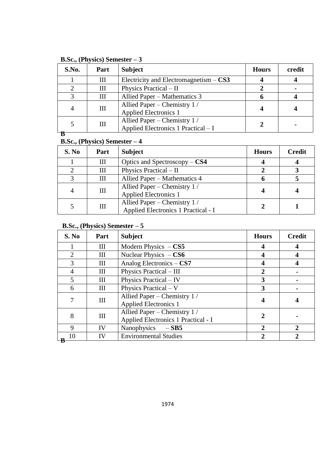| S.No. | Part | <b>Subject</b>                                                     | <b>Hours</b> | credit |
|-------|------|--------------------------------------------------------------------|--------------|--------|
|       | Ш    | Electricity and Electromagnetism $-$ CS3                           |              |        |
|       | Ш    | Physics Practical - II                                             |              |        |
|       | Ш    | Allied Paper – Mathematics 3                                       |              |        |
| 4     | Ш    | Allied Paper – Chemistry 1/<br><b>Applied Electronics 1</b>        |              |        |
|       | Ш    | Allied Paper – Chemistry 1/<br>Applied Electronics 1 Practical – I |              |        |
|       |      |                                                                    |              |        |

**B.Sc., (Physics) Semester – 3**

# **B.Sc., (Physics) Semester – 4**

| S. No | Part | <b>Subject</b>                                                     | <b>Hours</b> | <b>Credit</b> |
|-------|------|--------------------------------------------------------------------|--------------|---------------|
|       | Ш    | Optics and Spectroscopy $-$ CS4                                    |              |               |
|       | Ш    | Physics Practical $-$ II                                           |              |               |
|       | Ш    | Allied Paper – Mathematics 4                                       |              |               |
|       | Ш    | Allied Paper – Chemistry 1/<br><b>Applied Electronics 1</b>        |              |               |
|       | Ш    | Allied Paper – Chemistry 1/<br>Applied Electronics 1 Practical - I |              |               |

# **B.Sc., (Physics) Semester – 5**

| S. No       | Part | <b>Subject</b>                                                      | <b>Hours</b>          | <b>Credit</b>         |
|-------------|------|---------------------------------------------------------------------|-----------------------|-----------------------|
|             | Ш    | Modern Physics $-$ CS5                                              |                       |                       |
| 2           | Ш    | Nuclear Physics $-$ CS6                                             |                       |                       |
| 3           | Ш    | Analog Electronics - CS7                                            |                       |                       |
| 4           | Ш    | Physics Practical - III                                             |                       |                       |
| 5           | Ш    | Physics Practical - IV                                              | 3                     |                       |
| 6           | Ш    | Physics Practical - V                                               | 3                     |                       |
|             | Ш    | Allied Paper – Chemistry 1/<br><b>Applied Electronics 1</b>         |                       |                       |
| 8           | Ш    | Allied Paper – Chemistry 1 /<br>Applied Electronics 1 Practical - I | 7.                    |                       |
| $\mathbf Q$ | IV   | Nanophysics $-$ SB5                                                 | $\mathcal{D}_{\cdot}$ |                       |
| 10          | IV   | <b>Environmental Studies</b>                                        | $\mathcal{D}_{\cdot}$ | $\mathcal{D}_{\cdot}$ |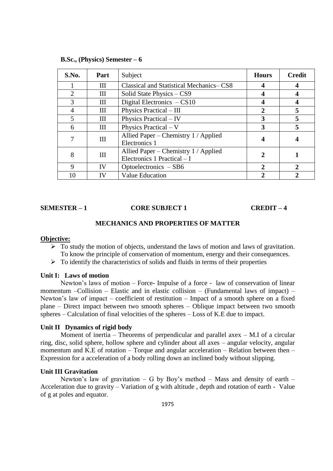| S.No.          | Part | Subject                                                             | <b>Hours</b> | <b>Credit</b> |
|----------------|------|---------------------------------------------------------------------|--------------|---------------|
|                | Ш    | Classical and Statistical Mechanics–CS8                             |              |               |
| 2              | Ш    | Solid State Physics – CS9                                           |              |               |
| 3              | Ш    | Digital Electronics $-CS10$                                         | 4            |               |
| $\overline{4}$ | Ш    | Physics Practical - III                                             | $\mathbf{2}$ | 5             |
| 5              | Ш    | Physics Practical – IV                                              | 3            | 5             |
| 6              | Ш    | Physics Practical $-V$                                              | 3            | 5             |
| 7              | III  | Allied Paper – Chemistry 1 / Applied<br>Electronics 1               |              |               |
| 8              | Ш    | Allied Paper – Chemistry 1 / Applied<br>Electronics 1 Practical - I | 2            |               |
| 9              | IV   | Optoelectronics $-SB6$                                              | $\mathbf{2}$ | 2             |
| 10             |      | <b>Value Education</b>                                              |              |               |

#### **B.Sc., (Physics) Semester – 6**

#### **SEMESTER – 1 CORE SUBJECT 1 CREDIT – 4**

#### **MECHANICS AND PROPERTIES OF MATTER**

#### **Objective:**

- $\triangleright$  To study the motion of objects, understand the laws of motion and laws of gravitation. To know the principle of conservation of momentum, energy and their consequences.
- $\triangleright$  To identify the characteristics of solids and fluids in terms of their properties

#### **Unit I: Laws of motion**

Newton's laws of motion – Force- Impulse of a force - law of conservation of linear momentum –Collision – Elastic and in elastic collision – (Fundamental laws of impact) – Newton's law of impact – coefficient of restitution – Impact of a smooth sphere on a fixed plane – Direct impact between two smooth spheres – Oblique impact between two smooth spheres – Calculation of final velocities of the spheres – Loss of K.E due to impact.

## **Unit II Dynamics of rigid body**

Moment of inertia – Theorems of perpendicular and parallel axex – M.I of a circular ring, disc, solid sphere, hollow sphere and cylinder about all axes – angular velocity, angular momentum and K.E of rotation – Torque and angular acceleration – Relation between then – Expression for a acceleration of a body rolling down an inclined body without slipping.

## **Unit III Gravitation**

Newton's law of gravitation – G by Boy's method – Mass and density of earth – Acceleration due to gravity – Variation of g with altitude , depth and rotation of earth - Value of g at poles and equator.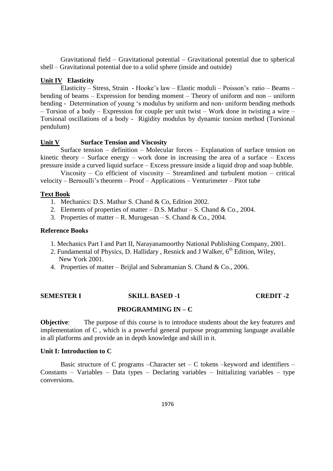Gravitational field – Gravitational potential – Gravitational potential due to spherical shell – Gravitational potential due to a solid sphere (inside and outside)

#### **Unit IV Elasticity**

Elasticity – Stress, Strain - Hooke's law – Elastic moduli – Poisson's ratio – Beams – bending of beams – Expression for bending moment – Theory of uniform and non – uniform bending - Determination of young 's modulus by uniform and non- uniform bending methods – Torsion of a body – Expression for couple per unit twist – Work done in twisting a wire – Torsional oscillations of a body - Rigidity modulus by dynamic torsion method (Torsional pendulum)

## **Unit V Surface Tension and Viscosity**

Surface tension – definition – Molecular forces – Explanation of surface tension on kinetic theory – Surface energy – work done in increasing the area of a surface – Excess pressure inside a curved liquid surface – Excess pressure inside a liquid drop and soap bubble.

Viscosity – Co efficient of viscosity – Streamlined and turbulent motion – critical velocity – Bernoulli's theorem – Proof – Applications – Venturimeter – Pitot tube

## **Text Book**

- 1. Mechanics: D.S. Mathur S. Chand & Co, Edition 2002.
- 2. Elements of properties of matter  $-$  D.S. Mathur  $-$  S. Chand & Co., 2004.
- 3. Properties of matter R. Murugesan S. Chand & Co., 2004.

#### **Reference Books**

- 1. Mechanics Part I and Part II, Narayanamoorthy National Publishing Company, 2001.
- 2. Fundamental of Physics, D. Hallidary, Resnick and J Walker,  $6<sup>th</sup>$  Edition, Wiley, New York 2001.
- 4. Properties of matter Brijlal and Subramanian S. Chand & Co., 2006.

#### **SEMESTER I SKILL BASED -1 CREDIT -2**

## **PROGRAMMING IN – C**

**Objective:** The purpose of this course is to introduce students about the key features and implementation of C , which is a powerful general purpose programming language available in all platforms and provide an in depth knowledge and skill in it.

#### **Unit I: Introduction to C**

Basic structure of C programs –Character set – C tokens –keyword and identifiers – Constants – Variables – Data types – Declaring variables – Initializing variables – type conversions.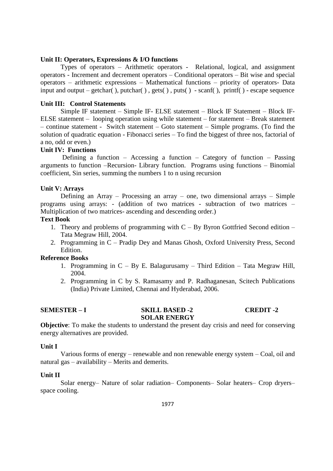#### **Unit II: Operators, Expressions & I/O functions**

Types of operators – Arithmetic operators - Relational, logical, and assignment operators - Increment and decrement operators – Conditional operators – Bit wise and special operators – arithmetic expressions – Mathematical functions – priority of operators- Data input and output – getchar( ), putchar( ) , gets( ) , puts( ) - scanf( ), printf( ) - escape sequence

#### **Unit III: Control Statements**

Simple IF statement – Simple IF- ELSE statement – Block IF Statement – Block IF-ELSE statement – looping operation using while statement – for statement – Break statement – continue statement - Switch statement – Goto statement – Simple programs. (To find the solution of quadratic equation - Fibonacci series – To find the biggest of three nos, factorial of a no, odd or even.)

## **Unit IV: Functions**

Defining a function – Accessing a function – Category of function – Passing arguments to function –Recursion- Library function. Programs using functions – Binomial coefficient, Sin series, summing the numbers 1 to n using recursion

#### **Unit V: Arrays**

Defining an Array – Processing an array – one, two dimensional arrays – Simple programs using arrays: - (addition of two matrices - subtraction of two matrices – Multiplication of two matrices- ascending and descending order.)

## **Text Book**

- 1. Theory and problems of programming with C By Byron Gottfried Second edition Tata Megraw Hill, 2004.
- 2. Programming in C Pradip Dey and Manas Ghosh, Oxford University Press, Second Edition.

#### **Reference Books**

- 1. Programming in C By E. Balagurusamy Third Edition Tata Megraw Hill, 2004.
- 2. Programming in C by S. Ramasamy and P. Radhaganesan, Scitech Publications (India) Private Limited, Chennai and Hyderabad, 2006.

## **SEMESTER – I** SKILL BASED -2 **CREDIT -2**

## **SOLAR ENERGY**

**Objective**: To make the students to understand the present day crisis and need for conserving energy alternatives are provided.

#### **Unit I**

Various forms of energy – renewable and non renewable energy system – Coal, oil and natural gas – availability – Merits and demerits.

#### **Unit II**

Solar energy– Nature of solar radiation– Components– Solar heaters– Crop dryers– space cooling.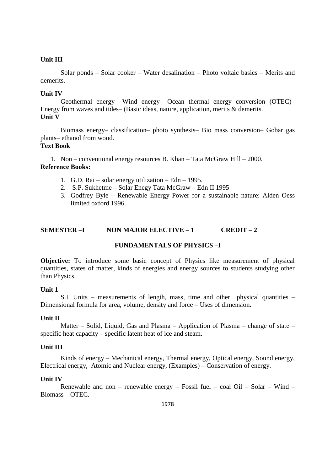## **Unit III**

Solar ponds – Solar cooker – Water desalination – Photo voltaic basics – Merits and demerits.

## **Unit IV**

Geothermal energy– Wind energy– Ocean thermal energy conversion (OTEC)– Energy from waves and tides– (Basic ideas, nature, application, merits & demerits. **Unit V**

Biomass energy– classification– photo synthesis– Bio mass conversion– Gobar gas plants– ethanol from wood.

## **Text Book**

1. Non – conventional energy resources B. Khan – Tata McGraw Hill – 2000. **Reference Books:**

- 1. G.D. Rai solar energy utilization Edn 1995.
- 2. S.P. Sukhetme Solar Enegy Tata McGraw Edn II 1995
- 3. Godfrey Byle Renewable Energy Power for a sustainable nature: Alden Oess limited oxford 1996.

## **SEMESTER –I NON MAJOR ELECTIVE – 1 CREDIT – 2**

#### **FUNDAMENTALS OF PHYSICS –I**

**Objective:** To introduce some basic concept of Physics like measurement of physical quantities, states of matter, kinds of energies and energy sources to students studying other than Physics.

#### **Unit 1**

S.I. Units – measurements of length, mass, time and other physical quantities – Dimensional formula for area, volume, density and force – Uses of dimension.

#### **Unit II**

Matter – Solid, Liquid, Gas and Plasma – Application of Plasma – change of state – specific heat capacity – specific latent heat of ice and steam.

#### **Unit III**

Kinds of energy – Mechanical energy, Thermal energy, Optical energy, Sound energy, Electrical energy, Atomic and Nuclear energy, (Examples) – Conservation of energy.

### **Unit IV**

Renewable and non – renewable energy – Fossil fuel – coal Oil – Solar – Wind – Biomass – OTEC.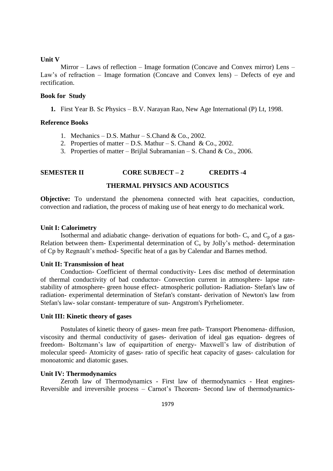#### **Unit V**

Mirror – Laws of reflection – Image formation (Concave and Convex mirror) Lens – Law's of refraction – Image formation (Concave and Convex lens) – Defects of eye and rectification.

#### **Book for Study**

**1.** First Year B. Sc Physics – B.V. Narayan Rao, New Age International (P) Lt, 1998.

#### **Reference Books**

- 1. Mechanics D.S. Mathur S.Chand & Co., 2002.
- 2. Properties of matter D.S. Mathur S. Chand & Co., 2002.
- 3. Properties of matter Brijlal Subramanian S. Chand & Co., 2006.

#### **SEMESTER II CORE SUBJECT – 2 CREDITS -4**

#### **THERMAL PHYSICS AND ACOUSTICS**

**Objective:** To understand the phenomena connected with heat capacities, conduction, convection and radiation, the process of making use of heat energy to do mechanical work.

#### **Unit I: Calorimetry**

Isothermal and adiabatic change- derivation of equations for both-  $C_v$  and  $C_p$  of a gas-Relation between them-Experimental determination of  $C_v$  by Jolly's method- determination of Cp by Regnault's method- Specific heat of a gas by Calendar and Barnes method.

#### **Unit II: Transmission of heat**

Conduction- Coefficient of thermal conductivity- Lees disc method of determination of thermal conductivity of bad conductor- Convection current in atmosphere- lapse ratestability of atmosphere- green house effect- atmospheric pollution- Radiation- Stefan's law of radiation- experimental determination of Stefan's constant- derivation of Newton's law from Stefan's law- solar constant- temperature of sun- Angstrom's Pyrheliometer.

#### **Unit III: Kinetic theory of gases**

Postulates of kinetic theory of gases- mean free path- Transport Phenomena- diffusion, viscosity and thermal conductivity of gases- derivation of ideal gas equation- degrees of freedom- Boltzmann's law of equipartition of energy- Maxwell's law of distribution of molecular speed- Atomicity of gases- ratio of specific heat capacity of gases- calculation for monoatomic and diatomic gases.

#### **Unit IV: Thermodynamics**

Zeroth law of Thermodynamics - First law of thermodynamics - Heat engines-Reversible and irreversible process – Carnot's Theorem- Second law of thermodynamics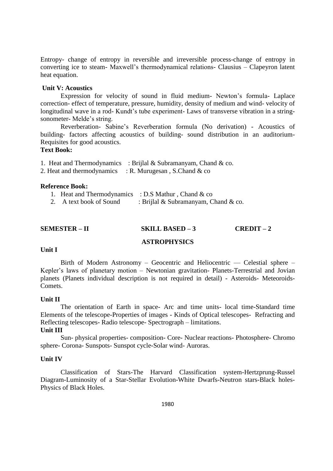Entropy- change of entropy in reversible and irreversible process-change of entropy in converting ice to steam- Maxwell's thermodynamical relations- Clausius – Clapeyron latent heat equation.

## **Unit V: Acoustics**

Expression for velocity of sound in fluid medium- Newton's formula- Laplace correction- effect of temperature, pressure, humidity, density of medium and wind- velocity of longitudinal wave in a rod- Kundt's tube experiment- Laws of transverse vibration in a stringsonometer- Melde's string.

Reverberation- Sabine's Reverberation formula (No derivation) - Acoustics of building- factors affecting acoustics of building- sound distribution in an auditorium-Requisites for good acoustics.

## **Text Book:**

|  | 1. Heat and Thermodynamics : Brijlal & Subramanyam, Chand & co. |  |
|--|-----------------------------------------------------------------|--|
|  |                                                                 |  |

2. Heat and thermodynamics  $\therefore$  R. Murugesan, S.Chand & co

## **Reference Book:**

|                         | 1. Heat and Thermodynamics : D.S Mathur, Chand & co |
|-------------------------|-----------------------------------------------------|
| 2. A text book of Sound | : Brijlal & Subramanyam, Chand & co.                |

## **SEMESTER – II SKILL BASED – 3 CREDIT – 2**

## **ASTROPHYSICS**

#### **Unit I**

Birth of Modern Astronomy – Geocentric and Heliocentric –– Celestial sphere – Kepler's laws of planetary motion – Newtonian gravitation- Planets-Terrestrial and Jovian planets (Planets individual description is not required in detail) - Asteroids- Meteoroids-Comets.

#### **Unit II**

The orientation of Earth in space- Arc and time units- local time-Standard time Elements of the telescope-Properties of images - Kinds of Optical telescopes- Refracting and Reflecting telescopes- Radio telescope- Spectrograph – limitations.

## **Unit III**

Sun- physical properties- composition- Core- Nuclear reactions- Photosphere- Chromo sphere- Corona- Sunspots- Sunspot cycle-Solar wind- Auroras.

## **Unit IV**

Classification of Stars-The Harvard Classification system-Hertzprung-Russel Diagram-Luminosity of a Star-Stellar Evolution-White Dwarfs-Neutron stars-Black holes-Physics of Black Holes.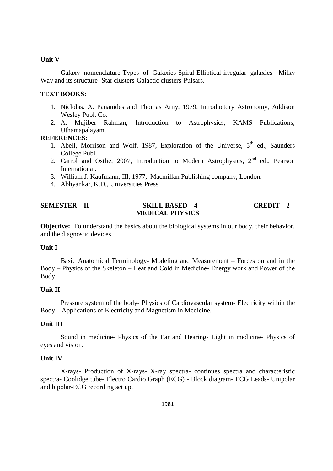## **Unit V**

Galaxy nomenclature-Types of Galaxies-Spiral-Elliptical-irregular galaxies- Milky Way and its structure- Star clusters-Galactic clusters-Pulsars.

## **TEXT BOOKS:**

- 1. Niclolas. A. Pananides and Thomas Arny, 1979, Introductory Astronomy, Addison Wesley Publ. Co.
- 2. A. Mujiber Rahman, Introduction to Astrophysics, KAMS Publications, Uthamapalayam.

## **REFERENCES:**

- 1. Abell, Morrison and Wolf, 1987, Exploration of the Universe,  $5<sup>th</sup>$  ed., Saunders College Publ.
- 2. Carrol and Ostlie, 2007, Introduction to Modern Astrophysics, 2<sup>nd</sup> ed., Pearson International.
- 3. William J. Kaufmann, III, 1977, Macmillan Publishing company, London.
- 4. Abhyankar, K.D., Universities Press.

## **SEMESTER – II SKILL BASED – 4 CREDIT – 2 MEDICAL PHYSICS**

**Objective:** To understand the basics about the biological systems in our body, their behavior, and the diagnostic devices.

#### **Unit I**

Basic Anatomical Terminology- Modeling and Measurement – Forces on and in the Body – Physics of the Skeleton – Heat and Cold in Medicine- Energy work and Power of the Body

#### **Unit II**

Pressure system of the body- Physics of Cardiovascular system- Electricity within the Body – Applications of Electricity and Magnetism in Medicine.

## **Unit III**

Sound in medicine- Physics of the Ear and Hearing- Light in medicine- Physics of eyes and vision.

#### **Unit IV**

X-rays- Production of X-rays- X-ray spectra- continues spectra and characteristic spectra- Coolidge tube- Electro Cardio Graph (ECG) - Block diagram- ECG Leads- Unipolar and bipolar-ECG recording set up.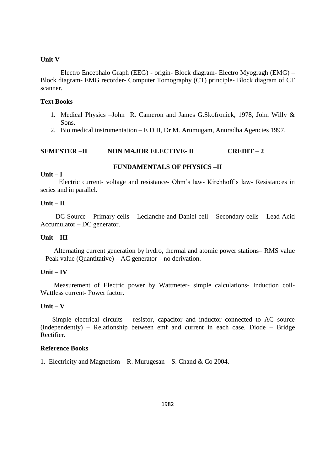### **Unit V**

Electro Encephalo Graph (EEG) - origin- Block diagram- Electro Myogragh (EMG) – Block diagram- EMG recorder- Computer Tomography (CT) principle- Block diagram of CT scanner.

## **Text Books**

- 1. Medical Physics –John R. Cameron and James G.Skofronick, 1978, John Willy & Sons.
- 2. Bio medical instrumentation E D II, Dr M. Arumugam, Anuradha Agencies 1997.

## **SEMESTER –II NON MAJOR ELECTIVE- II CREDIT – 2**

## **FUNDAMENTALS OF PHYSICS –II**

#### **Unit – I**

 Electric current- voltage and resistance- Ohm's law- Kirchhoff's law- Resistances in series and in parallel.

#### **Unit – II**

 DC Source – Primary cells – Leclanche and Daniel cell – Secondary cells – Lead Acid Accumulator – DC generator.

## **Unit – III**

 Alternating current generation by hydro, thermal and atomic power stations– RMS value – Peak value (Quantitative) – AC generator – no derivation.

### **Unit – IV**

 Measurement of Electric power by Wattmeter- simple calculations- Induction coil-Wattless current- Power factor.

## **Unit – V**

 Simple electrical circuits – resistor, capacitor and inductor connected to AC source (independently) – Relationship between emf and current in each case. Diode – Bridge Rectifier.

#### **Reference Books**

1. Electricity and Magnetism – R. Murugesan – S. Chand & Co 2004.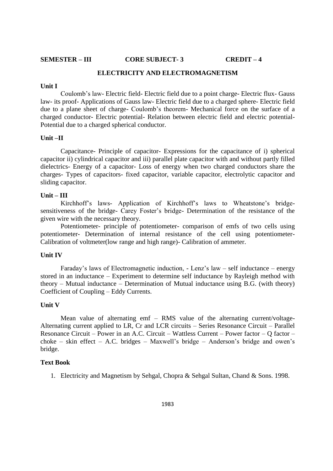**SEMESTER – III CORE SUBJECT- 3 CREDIT – 4** 

## **ELECTRICITY AND ELECTROMAGNETISM**

#### **Unit I**

Coulomb's law- Electric field- Electric field due to a point charge- Electric flux- Gauss law- its proof- Applications of Gauss law- Electric field due to a charged sphere- Electric field due to a plane sheet of charge- Coulomb's theorem- Mechanical force on the surface of a charged conductor- Electric potential- Relation between electric field and electric potential-Potential due to a charged spherical conductor.

#### **Unit –II**

Capacitance- Principle of capacitor- Expressions for the capacitance of i) spherical capacitor ii) cylindrical capacitor and iii) parallel plate capacitor with and without partly filled dielectrics- Energy of a capacitor- Loss of energy when two charged conductors share the charges- Types of capacitors- fixed capacitor, variable capacitor, electrolytic capacitor and sliding capacitor.

## **Unit – III**

Kirchhoff's laws- Application of Kirchhoff's laws to Wheatstone's bridgesensitiveness of the bridge- Carey Foster's bridge- Determination of the resistance of the given wire with the necessary theory.

Potentiometer- principle of potentiometer- comparison of emfs of two cells using potentiometer- Determination of internal resistance of the cell using potentiometer-Calibration of voltmeter(low range and high range)- Calibration of ammeter.

#### **Unit IV**

Faraday's laws of Electromagnetic induction, - Lenz's law – self inductance – energy stored in an inductance – Experiment to determine self inductance by Rayleigh method with theory – Mutual inductance – Determination of Mutual inductance using B.G. (with theory) Coefficient of Coupling – Eddy Currents.

#### **Unit V**

Mean value of alternating emf – RMS value of the alternating current/voltage-Alternating current applied to LR, Cr and LCR circuits – Series Resonance Circuit – Parallel Resonance Circuit – Power in an A.C. Circuit – Wattless Current – Power factor – Q factor – choke – skin effect – A.C. bridges – Maxwell's bridge – Anderson's bridge and owen's bridge.

#### **Text Book**

1. Electricity and Magnetism by Sehgal, Chopra & Sehgal Sultan, Chand & Sons. 1998.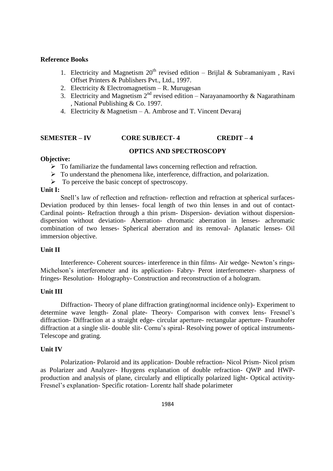#### **Reference Books**

- 1. Electricity and Magnetism  $20<sup>th</sup>$  revised edition Brijlal & Subramaniyam, Ravi Offset Printers & Publishers Pvt., Ltd., 1997.
- 2. Electricity & Electromagnetism R. Murugesan
- 3. Electricity and Magnetism  $2<sup>nd</sup>$  revised edition Narayanamoorthy & Nagarathinam , National Publishing & Co. 1997.
- 4. Electricity & Magnetism A. Ambrose and T. Vincent Devaraj

## **SEMESTER – IV CORE SUBJECT- 4 CREDIT – 4**

## **OPTICS AND SPECTROSCOPY**

#### **Objective:**

 $\triangleright$  To familiarize the fundamental laws concerning reflection and refraction.

- $\triangleright$  To understand the phenomena like, interference, diffraction, and polarization.
- $\triangleright$  To perceive the basic concept of spectroscopy.

#### **Unit I:**

Snell's law of reflection and refraction- reflection and refraction at spherical surfaces-Deviation produced by thin lenses- focal length of two thin lenses in and out of contact-Cardinal points- Refraction through a thin prism- Dispersion- deviation without dispersiondispersion without deviation- Aberration- chromatic aberration in lenses- achromatic combination of two lenses- Spherical aberration and its removal- Aplanatic lenses- Oil immersion objective.

## **Unit II**

Interference- Coherent sources- interference in thin films- Air wedge- Newton's rings-Michelson's interferometer and its application- Fabry- Perot interferometer- sharpness of fringes- Resolution- Holography- Construction and reconstruction of a hologram.

## **Unit III**

Diffraction- Theory of plane diffraction grating(normal incidence only)- Experiment to determine wave length- Zonal plate- Theory- Comparison with convex lens- Fresnel's diffraction- Diffraction at a straight edge- circular aperture- rectangular aperture- Fraunhofer diffraction at a single slit- double slit- Cornu's spiral- Resolving power of optical instruments-Telescope and grating.

#### **Unit IV**

Polarization- Polaroid and its application- Double refraction- Nicol Prism- Nicol prism as Polarizer and Analyzer- Huygens explanation of double refraction- QWP and HWPproduction and analysis of plane, circularly and elliptically polarized light- Optical activity-Fresnel's explanation- Specific rotation- Lorentz half shade polarimeter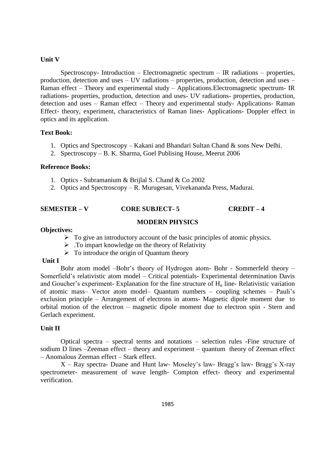### **Unit V**

Spectroscopy- Introduction – Electromagnetic spectrum – IR radiations – properties, production, detection and uses – UV radiations – properties, production, detection and uses – Raman effect – Theory and experimental study – Applications.Electromagnetic spectrum- IR radiations- properties, production, detection and uses- UV radiations- properties, production, detection and uses – Raman effect – Theory and experimental study- Applications- Raman Effect- theory, experiment, characteristics of Raman lines- Applications- Doppler effect in optics and its application.

## **Text Book:**

- 1. Optics and Spectroscopy Kakani and Bhandari Sultan Chand & sons New Delhi.
- 2. Spectroscopy B. K. Sharma, Goel Publising House, Meerut 2006

#### **Reference Books:**

- 1. Optics Subramanium & Brijlal S. Chand & Co 2002
- 2. Optics and Spectroscopy R. Murugesan, Vivekananda Press, Madurai.

## **SEMESTER – V CORE SUBJECT- 5 CREDIT – 4**

## **MODERN PHYSICS**

## **Objectives:**

- $\triangleright$  To give an introductory account of the basic principles of atomic physics.
- $\triangleright$  To impart knowledge on the theory of Relativity
- $\triangleright$  To introduce the origin of Quantum theory

#### **Unit I**

Bohr atom model –Bohr's theory of Hydrogen atom- Bohr - Sommerfeld theory – Somerfield's relativistic atom model – Critical potentials- Experimental determination Davis and Goucher's experiment- Explanation for the fine structure of  $H<sub>a</sub>$  line- Relativistic variation of atomic mass– Vector atom model– Quantum numbers – coupling schemes – Pauli's exclusion principle – Arrangement of electrons in atoms- Magnetic dipole moment due to orbital motion of the electron – magnetic dipole moment due to electron spin - Stern and Gerlach experiment.

#### **Unit II**

Optical spectra – spectral terms and notations – selection rules -Fine structure of sodium D lines –Zeeman effect – theory and experiment – quantum theory of Zeeman effect – Anomalous Zeeman effect – Stark effect.

X – Ray spectra- Duane and Hunt law- Moseley's law- Bragg's law- Bragg's X-ray spectrometer- measurement of wave length- Compton effect- theory and experimental verification.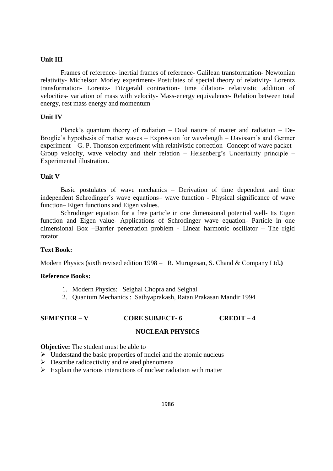## **Unit III**

Frames of reference- inertial frames of reference- Galilean transformation- Newtonian relativity- Michelson Morley experiment- Postulates of special theory of relativity- Lorentz transformation- Lorentz- Fitzgerald contraction- time dilation- relativistic addition of velocities- variation of mass with velocity- Mass-energy equivalence- Relation between total energy, rest mass energy and momentum

#### **Unit IV**

Planck's quantum theory of radiation – Dual nature of matter and radiation – De-Broglie's hypothesis of matter waves – Expression for wavelength – Davisson's and Germer experiment – G. P. Thomson experiment with relativistic correction- Concept of wave packet– Group velocity, wave velocity and their relation – Heisenberg's Uncertainty principle – Experimental illustration.

#### **Unit V**

Basic postulates of wave mechanics – Derivation of time dependent and time independent Schrodinger's wave equations– wave function - Physical significance of wave function– Eigen functions and Eigen values.

Schrodinger equation for a free particle in one dimensional potential well- Its Eigen function and Eigen value- Applications of Schrodinger wave equation- Particle in one dimensional Box –Barrier penetration problem - Linear harmonic oscillator – The rigid rotator.

#### **Text Book:**

Modern Physics (sixth revised edition 1998 – R. Murugesan, S. Chand & Company Ltd**.)** 

#### **Reference Books:**

- 1. Modern Physics: Seighal Chopra and Seighal
- 2. Quantum Mechanics : Sathyaprakash, Ratan Prakasan Mandir 1994

## **SEMESTER – V CORE SUBJECT- 6 CREDIT – 4**

#### **NUCLEAR PHYSICS**

#### **Objective:** The student must be able to

- $\triangleright$  Understand the basic properties of nuclei and the atomic nucleus
- $\triangleright$  Describe radioactivity and related phenomena
- $\triangleright$  Explain the various interactions of nuclear radiation with matter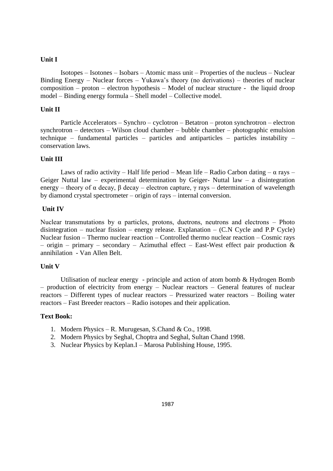## **Unit I**

Isotopes – Isotones – Isobars – Atomic mass unit – Properties of the nucleus – Nuclear Binding Energy – Nuclear forces – Yukawa's theory (no derivations) – theories of nuclear composition – proton – electron hypothesis – Model of nuclear structure - the liquid droop model – Binding energy formula – Shell model – Collective model.

## **Unit II**

Particle Accelerators – Synchro – cyclotron – Betatron – proton synchrotron – electron synchrotron – detectors – Wilson cloud chamber – bubble chamber – photographic emulsion technique – fundamental particles – particles and antiparticles – particles instability – conservation laws.

## **Unit III**

Laws of radio activity – Half life period – Mean life – Radio Carbon dating –  $\alpha$  rays – Geiger Nuttal law – experimental determination by Geiger- Nuttal law – a disintegration energy – theory of  $\alpha$  decay,  $\beta$  decay – electron capture,  $\gamma$  rays – determination of wavelength by diamond crystal spectrometer – origin of rays – internal conversion.

## **Unit IV**

Nuclear transmutations by  $\alpha$  particles, protons, duetrons, neutrons and electrons – Photo disintegration – nuclear fission – energy release. Explanation –  $(C.N$  Cycle and P.P Cycle) Nuclear fusion – Thermo nuclear reaction – Controlled thermo nuclear reaction – Cosmic rays – origin – primary – secondary – Azimuthal effect – East-West effect pair production  $\&$ annihilation - Van Allen Belt.

## **Unit V**

Utilisation of nuclear energy - principle and action of atom bomb & Hydrogen Bomb – production of electricity from energy – Nuclear reactors – General features of nuclear reactors – Different types of nuclear reactors – Pressurized water reactors – Boiling water reactors – Fast Breeder reactors – Radio isotopes and their application.

## **Text Book:**

- 1. Modern Physics R. Murugesan, S.Chand & Co., 1998.
- 2. Modern Physics by Seghal, Choptra and Seghal, Sultan Chand 1998.
- 3. Nuclear Physics by Keplan.I Marosa Publishing House, 1995.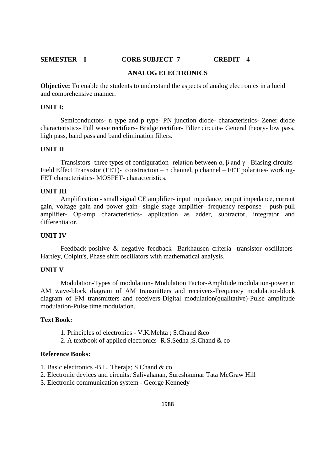## **SEMESTER – I CORE SUBJECT- 7 CREDIT – 4**

### **ANALOG ELECTRONICS**

**Objective:** To enable the students to understand the aspects of analog electronics in a lucid and comprehensive manner.

### **UNIT I:**

Semiconductors- n type and p type- PN junction diode- characteristics- Zener diode characteristics- Full wave rectifiers- Bridge rectifier- Filter circuits- General theory- low pass, high pass, band pass and band elimination filters.

#### **UNIT II**

Transistors- three types of configuration- relation between α, β and γ - Biasing circuits-Field Effect Transistor (FET)- construction – n channel, p channel – FET polarities- working-FET characteristics- MOSFET- characteristics.

#### **UNIT III**

Amplification - small signal CE amplifier- input impedance, output impedance, current gain, voltage gain and power gain- single stage amplifier- frequency response - push-pull amplifier- Op-amp characteristics- application as adder, subtractor, integrator and differentiator.

#### **UNIT IV**

Feedback-positive & negative feedback- Barkhausen criteria- transistor oscillators-Hartley, Colpitt's, Phase shift oscillators with mathematical analysis.

#### **UNIT V**

Modulation-Types of modulation- Modulation Factor-Amplitude modulation-power in AM wave-block diagram of AM transmitters and receivers-Frequency modulation-block diagram of FM transmitters and receivers-Digital modulation(qualitative)-Pulse amplitude modulation-Pulse time modulation.

### **Text Book:**

- 1. Principles of electronics V.K.Mehta ; S.Chand &co
- 2. A textbook of applied electronics -R.S.Sedha ;S.Chand & co

## **Reference Books:**

- 1. Basic electronics -B.L. Theraja; S.Chand & co
- 2. Electronic devices and circuits: Salivahanan, Sureshkumar Tata McGraw Hill
- 3. Electronic communication system George Kennedy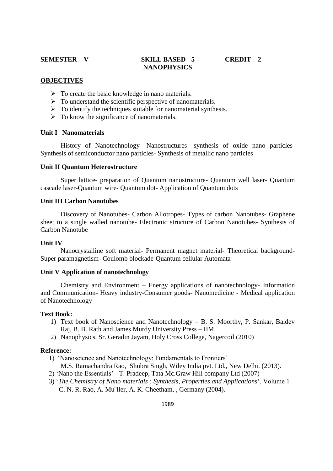## **SEMESTER – V SKILL BASED - 5 CREDIT – 2 NANOPHYSICS**

#### **OBJECTIVES**

- $\triangleright$  To create the basic knowledge in nano materials.
- $\triangleright$  To understand the scientific perspective of nanomaterials.
- $\triangleright$  To identify the techniques suitable for nanomaterial synthesis.
- $\triangleright$  To know the significance of nanomaterials.

## **Unit I Nanomaterials**

History of Nanotechnology- Nanostructures- synthesis of oxide nano particles-Synthesis of semiconductor nano particles- Synthesis of metallic nano particles

#### **Unit II Quantum Heterostructure**

Super lattice- preparation of Quantum nanostructure- Quantum well laser- Quantum cascade laser-Quantum wire- Quantum dot- Application of Quantum dots

#### **Unit III Carbon Nanotubes**

Discovery of Nanotubes- Carbon Allotropes- Types of carbon Nanotubes- Graphene sheet to a single walled nanotube- Electronic structure of Carbon Nanotubes- Synthesis of Carbon Nanotube

#### **Unit IV**

Nanocrystalline soft material- Permanent magnet material- Theoretical background-Super paramagnetism- Coulomb blockade-Quantum cellular Automata

## **Unit V Application of nanotechnology**

Chemistry and Environment – Energy applications of nanotechnology- Information and Communication- Heavy industry-Consumer goods- Nanomedicine - Medical application of Nanotechnology

#### **Text Book:**

- 1) Text book of Nanoscience and Nanotechnology B. S. Moorthy, P. Sankar, Baldev Raj, B. B. Rath and James Murdy University Press – IIM
- 2) Nanophysics, Sr. Geradin Jayam, Holy Cross College, Nagercoil (2010)

#### **Reference:**

- 1) 'Nanoscience and Nanotechnology: Fundamentals to Frontiers' M.S. Ramachandra Rao, Shubra Singh, Wiley India pvt. Ltd., New Delhi. (2013).
- 2) 'Nano the Essentials' T. Pradeep, Tata Mc.Graw Hill company Ltd (2007)
- 3) '*The Chemistry of Nano materials : Synthesis, Properties and Applications*', Volume 1 C. N. R. Rao, A. Mu¨ller, A. K. Cheetham, , Germany (2004).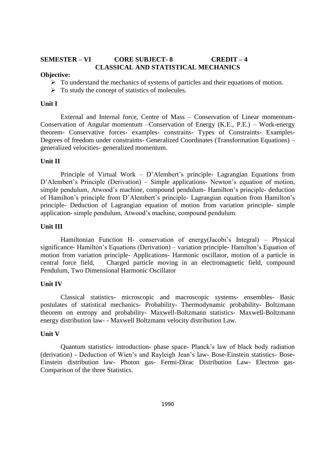## **SEMESTER – VI CORE SUBJECT- 8 CREDIT – 4 CLASSICAL AND STATISTICAL MECHANICS**

#### **Objective:**

- $\triangleright$  To understand the mechanics of systems of particles and their equations of motion.
- $\triangleright$  To study the concept of statistics of molecules.

#### **Unit I**

External and Internal force, Centre of Mass – Conservation of Linear momentum-Conservation of Angular momentum –Conservation of Energy (K.E., P.E.) – Work-energy theorem- Conservative forces- examples- constrains- Types of Constraints- Examples-Degrees of freedom under constraints- Generalized Coordinates (Transformation Equations) – generalized velocities- generalized momentum.

#### **Unit II**

Principle of Virtual Work – D'Alembert's principle- Lagrangian Equations from D'Alembert's Principle (Derivation) – Simple applications- Newton's equation of motion, simple pendulum, Atwood's machine, compound pendulum- Hamilton's principle- deduction of Hamilton's principle from D'Alembert's principle- Lagrangian equation from Hamilton's principle- Deduction of Lagrangian equation of motion from variation principle- simple application- simple pendulum, Atwood's machine, compound pendulum.

#### **Unit III**

Hamiltonian Function H- conservation of energy(Jacobi's Integral) – Physical significance- Hamilton's Equations (Derivation) – variation principle- Hamilton's Equation of motion from variation principle- Applications- Harmonic oscillator, motion of a particle in central force field, Charged particle moving in an electromagnetic field, compound Pendulum, Two Dimensional Harmonic Oscillator

#### **Unit IV**

Classical statistics- microscopic and macroscopic systems- ensembles- Basic postulates of statistical mechanics- Probability- Thermodynamic probability- Boltzmann theorem on entropy and probability- Maxwell-Boltzmann statistics- Maxwell-Boltzmann energy distribution law- - Maxwell Boltzmann velocity distribution Law.

### **Unit V**

Quantum statistics- introduction- phase space- Planck's law of black body radiation (derivation) - Deduction of Wien's and Rayleigh Jean's law- Bose-Einstein statistics- Bose-Einstein distribution law- Photon gas- Fermi-Dirac Distribution Law- Electron gas-Comparison of the three Statistics.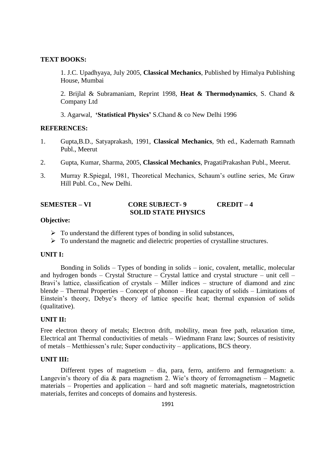## **TEXT BOOKS:**

1. J.C. Upadhyaya, July 2005, **Classical Mechanics**, Published by Himalya Publishing House, Mumbai

2. Brijlal & Subramaniam, Reprint 1998, **Heat & Thermodynamics**, S. Chand & Company Ltd

3. Agarwal, **'Statistical Physics'** S.Chand & co New Delhi 1996

## **REFERENCES:**

- 1. Gupta,B.D., Satyaprakash, 1991, **Classical Mechanics**, 9th ed., Kadernath Ramnath Publ., Meerut
- 2. Gupta, Kumar, Sharma, 2005, **Classical Mechanics**, PragatiPrakashan Publ., Meerut.
- 3. Murray R.Spiegal, 1981, Theoretical Mechanics, Schaum's outline series, Mc Graw Hill Publ. Co., New Delhi.

## **SEMESTER – VI CORE SUBJECT- 9 CREDIT – 4 SOLID STATE PHYSICS**

## **Objective:**

- $\triangleright$  To understand the different types of bonding in solid substances,
- $\triangleright$  To understand the magnetic and dielectric properties of crystalline structures.

## **UNIT I:**

Bonding in Solids – Types of bonding in solids – ionic, covalent, metallic, molecular and hydrogen bonds – Crystal Structure – Crystal lattice and crystal structure – unit cell – Bravi's lattice, classification of crystals – Miller indices – structure of diamond and zinc blende – Thermal Properties – Concept of phonon – Heat capacity of solids – Limitations of Einstein's theory, Debye's theory of lattice specific heat; thermal expansion of solids (qualitative).

## **UNIT II:**

Free electron theory of metals; Electron drift, mobility, mean free path, relaxation time, Electrical ant Thermal conductivities of metals – Wiedmann Franz law; Sources of resistivity of metals – Metthiessen's rule; Super conductivity – applications, BCS theory.

#### **UNIT III:**

Different types of magnetism – dia, para, ferro, antiferro and fermagnetism: a. Langevin's theory of dia  $\&$  para magnetism 2. Wie's theory of ferromagnetism – Magnetic materials – Properties and application – hard and soft magnetic materials, magnetostriction materials, ferrites and concepts of domains and hysteresis.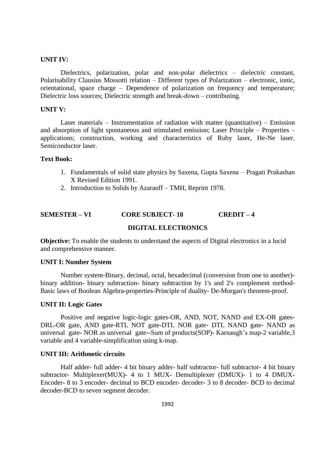## **UNIT IV:**

Dielectrics, polarization, polar and non-polar dielectrics – dielectric constant, Polarisability Clausius Mossotti relation – Different types of Polarization – electronic, ionic, orientational, space charge – Dependence of polarization on frequency and temperature; Dielectric loss sources; Dielectric strength and break-down – contributing.

#### **UNIT V:**

Laser materials – Instrumentation of radiation with matter (quantitative) – Emission and absorption of light spontaneous and stimulated emission; Laser Principle – Properties – applications; construction, working and characteristics of Ruby laser, He-Ne laser. Semiconductor laser.

#### **Text Book:**

- 1. Fundamentals of solid state physics by Saxena, Gupta Saxena Pragati Prakashan X Revised Edition 1991.
- 2. Introduction to Solids by Azaraoff TMH, Reprint 1978.

## **SEMESTER – VI CORE SUBJECT- 10 CREDIT – 4**

## **DIGITAL ELECTRONICS**

**Objective:** To enable the students to understand the aspects of Digital electronics in a lucid and comprehensive manner.

#### **UNIT I: Number System**

Number system-Binary, decimal, octal, hexadecimal (conversion from one to another) binary addition- binary subtraction- binary subtraction by 1's and 2's complement method-Basic laws of Boolean Algebra-properties-Principle of duality- De-Morgan's theorem-proof.

#### **UNIT II: Logic Gates**

Positive and negative logic-logic gates-OR, AND, NOT, NAND and EX-OR gates-DRL-OR gate, AND gate-RTL NOT gate-DTL NOR gate- DTL NAND gate- NAND as universal gate- NOR as universal gate--Sum of products(SOP)- Karnaugh's map-2 variable,3 variable and 4 variable-simplification using k-map.

## **UNIT III: Arithmetic circuits**

Half adder- full adder- 4 bit binary adder- half subtractor- full subtractor- 4 bit binary subtractor- Multiplexer(MUX)- 4 to 1 MUX- Demultiplexer (DMUX)- 1 to 4 DMUX-Encoder- 8 to 3 encoder- decimal to BCD encoder- decoder- 3 to 8 decoder- BCD to decimal decoder-BCD to seven segment decoder.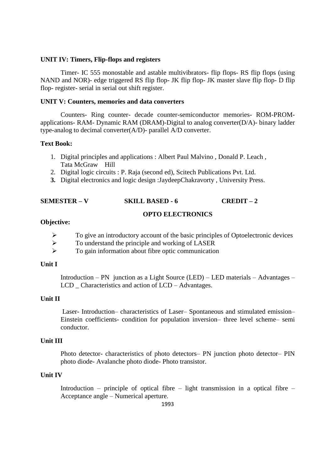#### **UNIT IV: Timers, Flip-flops and registers**

Timer- IC 555 monostable and astable multivibrators- flip flops- RS flip flops (using NAND and NOR)- edge triggered RS flip flop- JK flip flop- JK master slave flip flop- D flip flop- register- serial in serial out shift register.

#### **UNIT V: Counters, memories and data converters**

Counters- Ring counter- decade counter-semiconductor memories- ROM-PROMapplications- RAM- Dynamic RAM (DRAM)-Digital to analog converter(D/A)- binary ladder type-analog to decimal converter(A/D)- parallel A/D converter.

### **Text Book:**

- 1. Digital principles and applications : Albert Paul Malvino , Donald P. Leach , Tata McGraw Hill
- 2. Digital logic circuits : P. Raja (second ed), Scitech Publications Pvt. Ltd.
- **3.** Digital electronics and logic design :JaydeepChakravorty , University Press.

## **SEMESTER – V SKILL BASED - 6 CREDIT – 2**

## **OPTO ELECTRONICS**

#### **Objective:**

- $\triangleright$  To give an introductory account of the basic principles of Optoelectronic devices
- $\triangleright$  To understand the principle and working of LASER
- $\triangleright$  To gain information about fibre optic communication

#### **Unit I**

Introduction – PN junction as a Light Source (LED) – LED materials – Advantages – LCD Characteristics and action of LCD – Advantages.

### **Unit II**

Laser- Introduction– characteristics of Laser– Spontaneous and stimulated emission– Einstein coefficients- condition for population inversion– three level scheme– semi conductor.

## **Unit III**

Photo detector- characteristics of photo detectors– PN junction photo detector– PIN photo diode- Avalanche photo diode- Photo transistor.

#### **Unit IV**

Introduction – principle of optical fibre – light transmission in a optical fibre – Acceptance angle – Numerical aperture.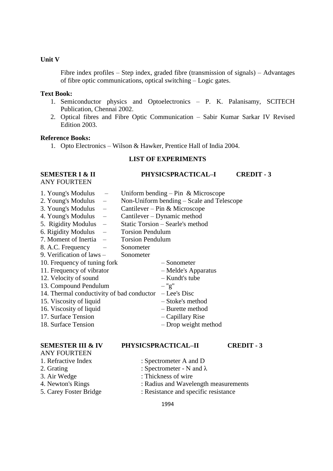## **Unit V**

Fibre index profiles – Step index, graded fibre (transmission of signals) – Advantages of fibre optic communications, optical switching – Logic gates.

#### **Text Book:**

- 1. Semiconductor physics and Optoelectronics P. K. Palanisamy, SCITECH Publication, Chennai 2002.
- 2. Optical fibres and Fibre Optic Communication Sabir Kumar Sarkar IV Revised Edition 2003.

#### **Reference Books:**

1. Opto Electronics – Wilson & Hawker, Prentice Hall of India 2004.

## **LIST OF EXPERIMENTS**

## **SEMESTER I & II PHYSICSPRACTICAL-I CREDIT - 3**

ANY FOURTEEN

| 1. Young's Modulus |  | Uniform bending $-$ Pin & Microscope |  |
|--------------------|--|--------------------------------------|--|
|--------------------|--|--------------------------------------|--|

- 2. Young's Modulus Non-Uniform bending Scale and Telescope
- 3. Young's Modulus Cantilever Pin & Microscope
- 4. Young's Modulus Cantilever Dynamic method
- 5. Rigidity Modulus Static Torsion Searle's method
- 6. Rigidity Modulus Torsion Pendulum
- 7. Moment of Inertia Torsion Pendulum
- 8. A.C. Frequency Sonometer
- 9. Verification of laws Sonometer
- 10. Frequency of tuning fork Sonometer
	-
- 11. Frequency of vibrator Melde's Apparatus
- 12. Velocity of sound Kundt's tube
- 13. Compound Pendulum ''g''
- 14. Thermal conductivity of bad conductor Lee's Disc
- 15. Viscosity of liquid Stoke's method
- 16. Viscosity of liquid Burette method
- 17. Surface Tension Capillary Rise
- 18. Surface Tension Drop weight method

- ANY FOURTEEN
- 
- 
- 
- 
- 
- -
	-

## **SEMESTER III & IV PHYSICSPRACTICAL–II CREDIT - 3**

- 1. Refractive Index : Spectrometer A and D
- 2. Grating : Spectrometer N and  $\lambda$
- 3. Air Wedge : Thickness of wire
- 4. Newton's Rings : Radius and Wavelength measurements
- 5. Carey Foster Bridge : Resistance and specific resistance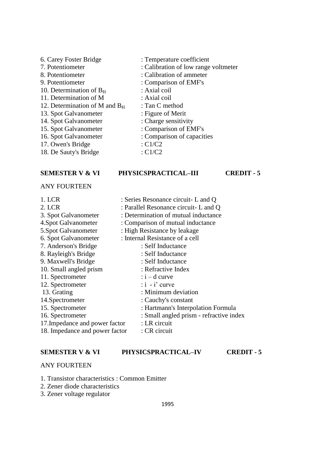- 6. Carey Foster Bridge : Temperature coefficient<br>
7. Potentiometer : Calibration of low range 8. Potentiometer : Calibration of ammeter 9. Potentiometer : Comparison of EMF's 10. Determination of  $B_H$  : Axial coil 11. Determination of M : Axial coil 12. Determination of M and  $B_H$  : Tan C method<br>13. Spot Galvanometer : Figure of Merit 13. Spot Galvanometer 14. Spot Galvanometer : Charge sensitivity 15. Spot Galvanometer : Comparison of EMF's 16. Spot Galvanometer : Comparison of capacities 17. Owen's Bridge  $\cdot$  C1/C2 18. De Sauty's Bridge : C1/C2
- 

#### **SEMESTER V & VI PHYSICSPRACTICAL–III CREDIT - 5**

ANY FOURTEEN

- 
- 1. LCR : Series Resonance circuit- L and Q

: Calibration of low range voltmeter

- 2. LCR : Parallel Resonance circuit- L and O
- 3. Spot Galvanometer : Determination of mutual inductance
- 4.Spot Galvanometer : Comparison of mutual inductance
- 5.Spot Galvanometer : High Resistance by leakage
- 6. Spot Galvanometer : Internal Resistance of a cell
- 7. Anderson's Bridge : Self Inductance
- 8. Rayleigh's Bridge : Self Inductance
- 9. Maxwell's Bridge : Self Inductance
- 10. Small angled prism : Refractive Index
- 11. Spectrometer : i d curve
- 12. Spectrometer : i i' curve
- 13. Grating : Minimum deviation
- 14.Spectrometer : Cauchy's constant
- 15. Spectrometer : Hartmann's Interpolation Formula
- 16. Spectrometer : Small angled prism refractive index
- 17. Impedance and power factor : LR circuit
- 18. Impedance and power factor : CR circuit

#### **SEMESTER V & VI PHYSICSPRACTICAL–IV CREDIT - 5**

#### ANY FOURTEEN

- 1. Transistor characteristics : Common Emitter
- 2. Zener diode characteristics
- 3. Zener voltage regulator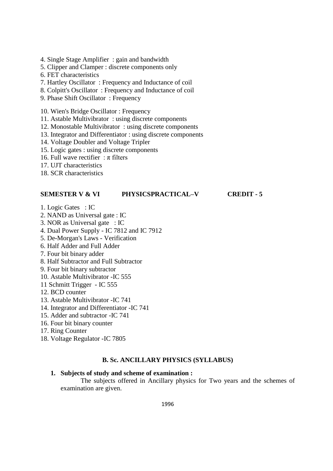- 4. Single Stage Amplifier : gain and bandwidth
- 5. Clipper and Clamper : discrete components only
- 6. FET characteristics
- 7. Hartley Oscillator : Frequency and Inductance of coil
- 8. Colpitt's Oscillator : Frequency and Inductance of coil
- 9. Phase Shift Oscillator : Frequency
- 10. Wien's Bridge Oscillator : Frequency
- 11. Astable Multivibrator : using discrete components
- 12. Monostable Multivibrator : using discrete components
- 13. Integrator and Differentiator : using discrete components
- 14. Voltage Doubler and Voltage Tripler
- 15. Logic gates : using discrete components
- 16. Full wave rectifier :  $\pi$  filters
- 17. UJT characteristics
- 18. SCR characteristics

## **SEMESTER V & VI PHYSICSPRACTICAL–V CREDIT - 5**

- 1. Logic Gates : IC
- 2. NAND as Universal gate : IC
- 3. NOR as Universal gate : IC
- 4. Dual Power Supply IC 7812 and IC 7912
- 5. De-Morgan's Laws Verification
- 6. Half Adder and Full Adder
- 7. Four bit binary adder
- 8. Half Subtractor and Full Subtractor
- 9. Four bit binary subtractor
- 10. Astable Multivibrator -IC 555
- 11 Schmitt Trigger IC 555
- 12. BCD counter
- 13. Astable Multivibrator -IC 741
- 14. Integrator and Differentiator -IC 741
- 15. Adder and subtractor -IC 741
- 16. Four bit binary counter
- 17. Ring Counter
- 18. Voltage Regulator -IC 7805

## **B. Sc. ANCILLARY PHYSICS (SYLLABUS)**

## **1. Subjects of study and scheme of examination :**

The subjects offered in Ancillary physics for Two years and the schemes of examination are given.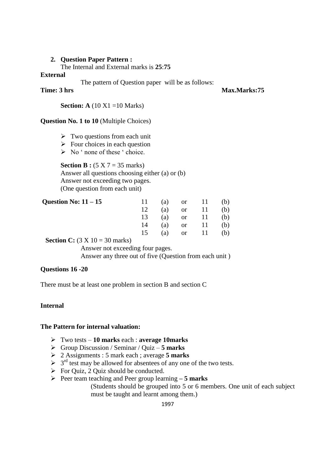## **2. Question Paper Pattern :**

The Internal and External marks is **25**:**75**

## **External**

The pattern of Question paper will be as follows:

**Time: 3 hrs Max.Marks:75** 

**Section: A** (10 X1 = 10 Marks)

## **Question No. 1 to 10** (Multiple Choices)

- $\triangleright$  Two questions from each unit
- $\triangleright$  Four choices in each question
- $\triangleright$  No ' none of these ' choice.

**Section B :**  $(5 \times 7 = 35 \text{ marks})$ Answer all questions choosing either (a) or (b) Answer not exceeding two pages. (One question from each unit)

| Question No: $11 - 15$                                                                                                                                                                                                                                                                                                         |    |  | 11 (a) or 11 (b) |  |
|--------------------------------------------------------------------------------------------------------------------------------------------------------------------------------------------------------------------------------------------------------------------------------------------------------------------------------|----|--|------------------|--|
|                                                                                                                                                                                                                                                                                                                                |    |  | (a) or 11 (b)    |  |
|                                                                                                                                                                                                                                                                                                                                |    |  | 13 (a) or 11 (b) |  |
|                                                                                                                                                                                                                                                                                                                                | 14 |  | (a) or 11 (b)    |  |
|                                                                                                                                                                                                                                                                                                                                | 15 |  | (a) or 11 (b)    |  |
| $\mathbb{C}$ at $\mathbb{C}$ $\mathbb{C}$ $\mathbb{C}$ $\mathbb{C}$ $\mathbb{C}$ $\mathbb{C}$ $\mathbb{C}$ $\mathbb{C}$ $\mathbb{C}$ $\mathbb{C}$ $\mathbb{C}$ $\mathbb{C}$ $\mathbb{C}$ $\mathbb{C}$ $\mathbb{C}$ $\mathbb{C}$ $\mathbb{C}$ $\mathbb{C}$ $\mathbb{C}$ $\mathbb{C}$ $\mathbb{C}$ $\mathbb{C}$ $\mathbb{C}$ $\$ |    |  |                  |  |

**Section C:** (3 X 10 = 30 marks)

Answer not exceeding four pages. Answer any three out of five (Question from each unit )

## **Questions 16 -20**

There must be at least one problem in section B and section C

## **Internal**

#### **The Pattern for internal valuation:**

- Two tests **10 marks** each : **average 10marks**
- Group Discussion / Seminar / Quiz **5 marks**
- 2 Assignments : 5 mark each ; average **5 marks**
- $\geq 3^{rd}$  test may be allowed for absentees of any one of the two tests.
- $\triangleright$  For Quiz, 2 Quiz should be conducted.
- Peer team teaching and Peer group learning **– 5 marks** (Students should be grouped into 5 or 6 members. One unit of each subject must be taught and learnt among them.)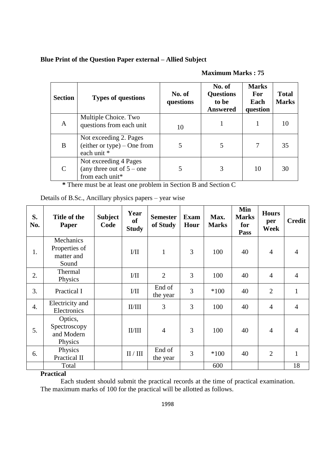## **Blue Print of the Question Paper external – Allied Subject**

| <b>Section</b>              | <b>Types of questions</b>                                               | No. of<br>questions | No. of<br><b>Questions</b><br>to be<br><b>Answered</b> | <b>Marks</b><br><b>For</b><br>Each<br>question | <b>Total</b><br><b>Marks</b> |
|-----------------------------|-------------------------------------------------------------------------|---------------------|--------------------------------------------------------|------------------------------------------------|------------------------------|
| $\mathbf{A}$                | Multiple Choice. Two<br>questions from each unit                        | 10                  |                                                        |                                                |                              |
| B                           | Not exceeding 2. Pages<br>$(either or type) - One from$<br>each unit *  | 5                   | 5                                                      | 7                                              | 35                           |
| $\mathcal{C}_{\mathcal{C}}$ | Not exceeding 4 Pages<br>(any three out of $5$ – one<br>from each unit* | 5                   | 3                                                      | 10                                             | 30                           |

## **Maximum Marks : 75**

 **\*** There must be at least one problem in Section B and Section C

| S.<br>No.        | Title of the<br><b>Paper</b>                      | <b>Subject</b><br>Code | Year<br><b>of</b><br><b>Study</b> | <b>Semester</b><br>of Study | <b>Exam</b><br>Hour | Max.<br><b>Marks</b> | Min<br><b>Marks</b><br>for<br><b>Pass</b> | <b>Hours</b><br>per<br>Week | <b>Credit</b>  |
|------------------|---------------------------------------------------|------------------------|-----------------------------------|-----------------------------|---------------------|----------------------|-------------------------------------------|-----------------------------|----------------|
| 1.               | Mechanics<br>Properties of<br>matter and<br>Sound |                        | VII                               | $\mathbf{1}$                | 3                   | 100                  | 40                                        | $\overline{4}$              | $\overline{4}$ |
| 2.               | Thermal<br>Physics                                |                        | $\rm{I/II}$                       | $\overline{2}$              | 3                   | 100                  | 40                                        | $\overline{4}$              | $\overline{4}$ |
| 3.               | Practical I                                       |                        | $\rm{I/II}$                       | End of<br>the year          | 3                   | $*100$               | 40                                        | $\overline{2}$              | $\mathbf{1}$   |
| $\overline{4}$ . | Electricity and<br>Electronics                    |                        | II/III                            | 3                           | 3                   | 100                  | 40                                        | $\overline{4}$              | $\overline{4}$ |
| 5.               | Optics,<br>Spectroscopy<br>and Modern<br>Physics  |                        | II/III                            | $\overline{4}$              | 3                   | 100                  | 40                                        | $\overline{4}$              | $\overline{4}$ |
| 6.               | Physics<br>Practical II                           |                        | $\rm II$ / $\rm III$              | End of<br>the year          | 3                   | $*100$               | 40                                        | $\overline{2}$              | $\mathbf{1}$   |
|                  | Total                                             |                        |                                   |                             |                     | 600                  |                                           |                             | 18             |

Details of B.Sc., Ancillary physics papers – year wise

## **Practical**

Each student should submit the practical records at the time of practical examination. The maximum marks of 100 for the practical will be allotted as follows.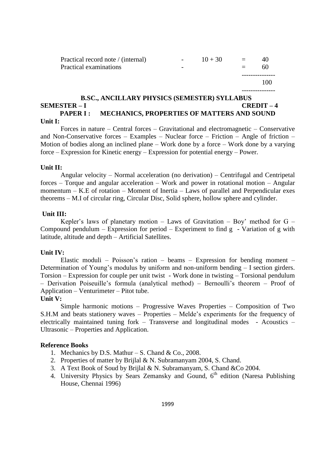| Practical record note / (internal)<br>Practical examinations | $\sim 100$<br>$\overline{\phantom{a}}$ | $10 + 30$ | $=$ | 40<br>60 |
|--------------------------------------------------------------|----------------------------------------|-----------|-----|----------|
|                                                              |                                        |           |     | 100      |

#### **B.SC., ANCILLARY PHYSICS (SEMESTER) SYLLABUS SEMESTER – I CREDIT – 4** PAPER I : MECHANICS, PROPERTIES OF MATTERS AND SOUND **Unit I:**

Forces in nature – Central forces – Gravitational and electromagnetic – Conservative and Non-Conservative forces – Examples – Nuclear force – Friction – Angle of friction – Motion of bodies along an inclined plane – Work done by a force – Work done by a varying force – Expression for Kinetic energy – Expression for potential energy – Power.

## **Unit II:**

Angular velocity – Normal acceleration (no derivation) – Centrifugal and Centripetal forces – Torque and angular acceleration – Work and power in rotational motion – Angular momentum – K.E of rotation – Moment of Inertia – Laws of parallel and Perpendicular exes theorems – M.I of circular ring, Circular Disc, Solid sphere, hollow sphere and cylinder.

#### **Unit III:**

Kepler's laws of planetary motion – Laws of Gravitation – Boy' method for G – Compound pendulum – Expression for period – Experiment to find  $g$  - Variation of  $g$  with latitude, altitude and depth – Artificial Satellites.

## **Unit IV:**

Elastic moduli – Poisson's ration – beams – Expression for bending moment – Determination of Young's modulus by uniform and non-uniform bending – I section girders. Torsion – Expression for couple per unit twist - Work done in twisting – Torsional pendulum – Derivation Poiseuille's formula (analytical method) – Bernoulli's theorem – Proof of Application – Venturimeter – Pitot tube.

#### **Unit V:**

Simple harmonic motions – Progressive Waves Properties – Composition of Two S.H.M and beats stationery waves – Properties – Melde's experiments for the frequency of electrically maintained tuning fork – Transverse and longitudinal modes - Acoustics – Ultrasonic – Properties and Application.

#### **Reference Books**

- 1. Mechanics by D.S. Mathur S. Chand & Co., 2008.
- 2. Properties of matter by Brijlal & N. Subramanyam 2004, S. Chand.
- 3. A Text Book of Soud by Brijlal & N. Subramanyam, S. Chand &Co 2004.
- 4. University Physics by Sears Zemansky and Gound,  $6<sup>th</sup>$  edition (Naresa Publishing House, Chennai 1996)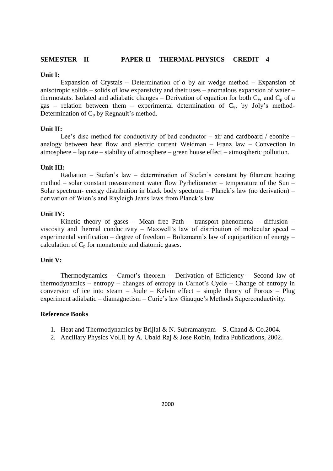## **SEMESTER – II PAPER-II THERMAL PHYSICS CREDIT – 4**

#### **Unit I:**

Expansion of Crystals – Determination of  $\alpha$  by air wedge method – Expansion of anisotropic solids – solids of low expansivity and their uses – anomalous expansion of water – thermostats. Isolated and adiabatic changes – Derivation of equation for both  $C_v$ , and  $C_p$  of a gas – relation between them – experimental determination of  $C_v$ , by Joly's method-Determination of  $C_p$  by Regnault's method.

## **Unit II:**

Lee's disc method for conductivity of bad conductor – air and cardboard / ebonite – analogy between heat flow and electric current Weidman – Franz law – Convection in atmosphere – lap rate – stability of atmosphere – green house effect – atmospheric pollution.

## **Unit III:**

Radiation – Stefan's law – determination of Stefan's constant by filament heating method – solar constant measurement water flow Pyrheliometer – temperature of the Sun – Solar spectrum- energy distribution in black body spectrum – Planck's law (no derivation) – derivation of Wien's and Rayleigh Jeans laws from Planck's law.

## **Unit IV:**

Kinetic theory of gases – Mean free Path – transport phenomena – diffusion – viscosity and thermal conductivity – Maxwell's law of distribution of molecular speed – experimental verification – degree of freedom – Boltzmann's law of equipartition of energy – calculation of  $C_p$  for monatomic and diatomic gases.

#### **Unit V:**

Thermodynamics – Carnot's theorem – Derivation of Efficiency – Second law of thermodynamics – entropy – changes of entropy in Carnot's Cycle – Change of entropy in conversion of ice into steam – Joule – Kelvin effect – simple theory of Porous – Plug experiment adiabatic – diamagnetism – Curie's law Giauque's Methods Superconductivity.

#### **Reference Books**

- 1. Heat and Thermodynamics by Brijlal & N. Subramanyam S. Chand & Co. 2004.
- 2. Ancillary Physics Vol.II by A. Ubald Raj & Jose Robin, Indira Publications, 2002.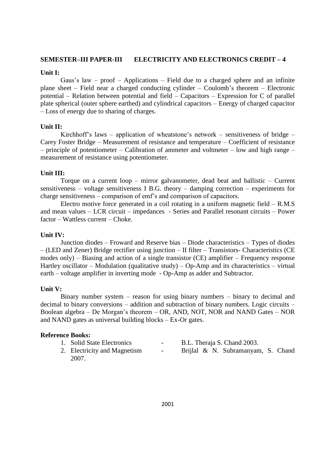## **SEMESTER–III PAPER-III ELECTRICITY AND ELECTRONICS CREDIT – 4**

#### **Unit I:**

Gaus's law – proof – Applications – Field due to a charged sphere and an infinite plane sheet – Field near a charged conducting cylinder – Coulomb's theorem – Electronic potential – Relation between potential and field – Capacitors – Expression for C of parallel plate spherical (outer sphere earthed) and cylindrical capacitors – Energy of charged capacitor – Loss of energy due to sharing of charges.

## **Unit II:**

Kirchhoff's laws – application of wheatstone's network – sensitiveness of bridge – Carey Foster Bridge – Measurement of resistance and temperature – Coefficient of resistance – principle of potentiometer – Calibration of ammeter and voltmeter – low and high range – measurement of resistance using potentiometer.

## **Unit III:**

Torque on a current loop – mirror galvanometer, dead beat and ballistic – Current sensitiveness – voltage sensitiveness I B.G. theory – damping correction – experiments for charge sensitiveness – comparison of emf's and comparison of capacitors.

Electro motive force generated in a coil rotating in a uniform magnetic field – R.M.S and mean values – LCR circuit – impedances - Series and Parallel resonant circuits – Power factor – Wattless current – Choke.

## **Unit IV:**

Junction diodes – Froward and Reserve bias – Diode characteristics – Types of diodes – (LED and Zener) Bridge rectifier using junction – II filter – Transistors- Characteristics (CE modes only) – Biasing and action of a single transistor (CE) amplifier – Frequency response Hartley oscillator – Modulation (qualitative study) – Op-Amp and its characteristics – virtual earth – voltage amplifier in inverting mode - Op-Amp as adder and Subtractor.

## **Unit V:**

Binary number system – reason for using binary numbers – binary to decimal and decimal to binary conversions – addition and subtraction of binary numbers. Logic circuits – Boolean algebra – De Morgan's theorem – OR, AND, NOT, NOR and NAND Gates – NOR and NAND gates as universal building blocks – Ex-Or gates.

## **Reference Books:**

| 1. Solid State Electronics   | $\sim$ 100 $\mu$ | B.L. Theraja S. Chand 2003.        |
|------------------------------|------------------|------------------------------------|
| 2. Electricity and Magnetism | $\sim$           | Brijlal & N. Subramanyam, S. Chand |
| 2007.                        |                  |                                    |

2001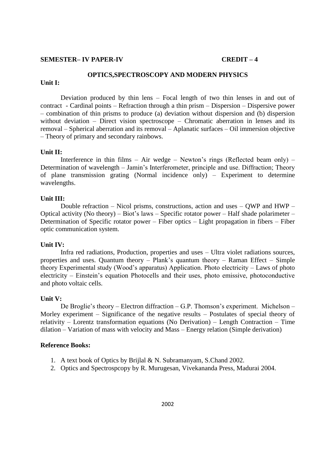#### **SEMESTER– IV PAPER-IV CREDIT – 4**

## **OPTICS,SPECTROSCOPY AND MODERN PHYSICS**

## **Unit I:**

Deviation produced by thin lens – Focal length of two thin lenses in and out of contract - Cardinal points – Refraction through a thin prism – Dispersion – Dispersive power – combination of thin prisms to produce (a) deviation without dispersion and (b) dispersion without deviation – Direct vision spectroscope – Chromatic aberration in lenses and its removal – Spherical aberration and its removal – Aplanatic surfaces – Oil immersion objective – Theory of primary and secondary rainbows.

#### **Unit II:**

Interference in thin films – Air wedge – Newton's rings (Reflected beam only) – Determination of wavelength – Jamin's Interferometer, principle and use. Diffraction; Theory of plane transmission grating (Normal incidence only) – Experiment to determine wavelengths.

#### **Unit III:**

Double refraction – Nicol prisms, constructions, action and uses – QWP and HWP – Optical activity (No theory) – Biot's laws – Specific rotator power – Half shade polarimeter – Determination of Specific rotator power – Fiber optics – Light propagation in fibers – Fiber optic communication system.

#### **Unit IV:**

Infra red radiations, Production, properties and uses – Ultra violet radiations sources, properties and uses. Quantum theory – Plank's quantum theory – Raman Effect – Simple theory Experimental study (Wood's apparatus) Application. Photo electricity – Laws of photo electricity – Einstein's equation Photocells and their uses, photo emissive, photoconductive and photo voltaic cells.

#### **Unit V:**

De Broglie's theory – Electron diffraction – G.P. Thomson's experiment. Michelson – Morley experiment – Significance of the negative results – Postulates of special theory of relativity – Lorentz transformation equations (No Derivation) – Length Contraction – Time dilation – Variation of mass with velocity and Mass – Energy relation (Simple derivation)

#### **Reference Books:**

- 1. A text book of Optics by Brijlal & N. Subramanyam, S.Chand 2002.
- 2. Optics and Spectrospcopy by R. Murugesan, Vivekananda Press, Madurai 2004.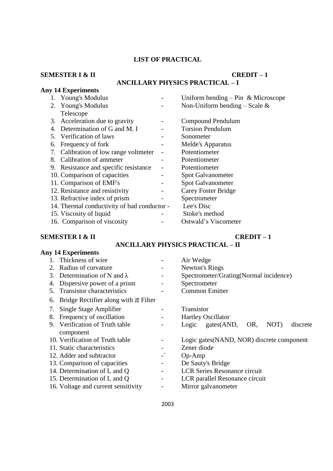## **LIST OF PRACTICAL**

# **SEMESTER I & II CREDIT – 1**

# **ANCILLARY PHYSICS PRACTICAL – I**

|    | <b>Any 14 Experiments</b>                   |                                      |
|----|---------------------------------------------|--------------------------------------|
|    | 1. Young's Modulus                          | Uniform bending $-$ Pin & Microscope |
|    | 2. Young's Modulus                          | Non-Uniform bending – Scale $\&$     |
|    | Telescope                                   |                                      |
|    | 3. Acceleration due to gravity              | Compound Pendulum                    |
|    | 4. Determination of G and M. I              | <b>Torsion Pendulum</b>              |
|    | 5. Verification of laws                     | Sonometer                            |
| 6. | Frequency of fork                           | Melde's Apparatus                    |
|    | 7. Calibration of low range voltmeter       | Potentiometer                        |
|    | 8. Calibration of ammeter                   | Potentiometer                        |
|    | 9. Resistance and specific resistance       | Potentiometer                        |
|    | 10. Comparison of capacities                | Spot Galvanometer                    |
|    | 11. Comparison of EMF's                     | <b>Spot Galvanometer</b>             |
|    | 12. Resistance and resistivity              | Carey Foster Bridge                  |
|    | 13. Refractive index of prism               | Spectrometer                         |
|    | 14. Thermal conductivity of bad conductor - | Lee's Disc                           |
|    | 15. Viscosity of liquid                     | Stoke's method                       |
|    | 16. Comparison of viscosity                 | Ostwald's Viscometer                 |

# **SEMESTER I & II CREDIT – 1**

# **ANCILLARY PHYSICS PRACTICAL – II**

| <b>Any 14 Experiments</b>                      |                          |                                             |
|------------------------------------------------|--------------------------|---------------------------------------------|
| Thickness of wire<br>$1_{-}$                   | $\overline{\phantom{a}}$ | Air Wedge                                   |
| Radius of curvature<br>2.                      | $\overline{\phantom{a}}$ | Newton's Rings                              |
| Determination of N and $\lambda$<br>3.         |                          | Spectrometer/Grating(Normal incidence)      |
| Dispersive power of a prism<br>4.              | $\overline{\phantom{a}}$ | Spectrometer                                |
| 5. Transistor characteristics                  | $\qquad \qquad -$        | <b>Common Emitter</b>                       |
| Bridge Rectifier along with $\pi$ Filter<br>6. |                          |                                             |
| 7. Single Stage Amplifier                      |                          | <b>Transistor</b>                           |
| Frequency of oscillation<br>8.                 |                          | <b>Hartley Oscillator</b>                   |
| 9. Verification of Truth table                 |                          | Logic gates(AND,<br>NOT)<br>discrete<br>OR, |
| component                                      |                          |                                             |
| 10. Verification of Truth table                |                          | Logic gates (NAND, NOR) discrete component  |
| 11. Static characteristics                     |                          | Zener diode                                 |
| 12. Adder and subtractor                       |                          | $Op-Amp$                                    |
| 13. Comparison of capacities                   |                          | De Sauty's Bridge                           |
| 14. Determination of L and Q                   | -                        | <b>LCR Series Resonance circuit</b>         |
| 15. Determination of L and Q                   | $\overline{\phantom{a}}$ | LCR parallel Resonance circuit              |
| 16. Voltage and current sensitivity            |                          | Mirror galvanometer                         |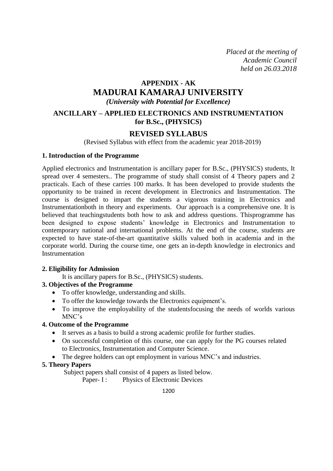*Placed at the meeting of Academic Council held on 26.03.2018*

# **APPENDIX - AK MADURAI KAMARAJ UNIVERSITY** *(University with Potential for Excellence)*

## **ANCILLARY – APPLIED ELECTRONICS AND INSTRUMENTATION for B.Sc., (PHYSICS)**

## **REVISED SYLLABUS**

(Revised Syllabus with effect from the academic year 2018-2019)

## **1. Introduction of the Programme**

Applied electronics and Instrumentation is ancillary paper for B.Sc., (PHYSICS) students, It spread over 4 semesters.. The programme of study shall consist of 4 Theory papers and 2 practicals. Each of these carries 100 marks. It has been developed to provide students the opportunity to be trained in recent development in Electronics and Instrumentation. The course is designed to impart the students a vigorous training in Electronics and Instrumentationboth in theory and experiments. Our approach is a comprehensive one. It is believed that teachingstudents both how to ask and address questions. Thisprogramme has been designed to expose students' knowledge in Electronics and Instrumentation to contemporary national and international problems. At the end of the course, students are expected to have state-of-the-art quantitative skills valued both in academia and in the corporate world. During the course time, one gets an in-depth knowledge in electronics and Instrumentation

## **2. Eligibility for Admission**

It is ancillary papers for B.Sc., (PHYSICS) students.

## **3. Objectives of the Programme**

- To offer knowledge, understanding and skills.
- To offer the knowledge towards the Electronics equipment's.
- To improve the employability of the studentsfocusing the needs of worlds various MNC's

## **4. Outcome of the Programme**

- It serves as a basis to build a strong academic profile for further studies.
- On successful completion of this course, one can apply for the PG courses related to Electronics, Instrumentation and Computer Science.
- The degree holders can opt employment in various MNC's and industries.

## **5. Theory Papers**

Subject papers shall consist of 4 papers as listed below.

Paper- I : Physics of Electronic Devices

1200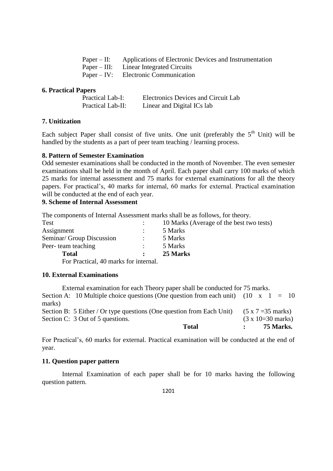| Paper – II: Applications of Electronic Devices and Instrumentation |
|--------------------------------------------------------------------|
| Paper – III: Linear Integrated Circuits                            |
| Paper – IV: Electronic Communication                               |
|                                                                    |

## **6. Practical Papers**

| <b>Practical Lab-I:</b> | <b>Electronics Devices and Circuit Lab</b> |
|-------------------------|--------------------------------------------|
| Practical Lab-II:       | Linear and Digital ICs lab                 |

## **7. Unitization**

Each subject Paper shall consist of five units. One unit (preferably the  $5<sup>th</sup>$  Unit) will be handled by the students as a part of peer team teaching / learning process.

## **8. Pattern of Semester Examination**

Odd semester examinations shall be conducted in the month of November. The even semester examinations shall be held in the month of April. Each paper shall carry 100 marks of which 25 marks for internal assessment and 75 marks for external examinations for all the theory papers. For practical's, 40 marks for internal, 60 marks for external. Practical examination will be conducted at the end of each year.

## **9. Scheme of Internal Assessment**

The components of Internal Assessment marks shall be as follows, for theory.

| <b>Test</b>                           | 10 Marks (Average of the best two tests) |
|---------------------------------------|------------------------------------------|
| Assignment                            | 5 Marks                                  |
| Seminar/ Group Discussion             | 5 Marks                                  |
| Peer-team teaching                    | 5 Marks                                  |
| <b>Total</b>                          | 25 Marks                                 |
| For Practical, 40 marks for internal. |                                          |

## **10. External Examinations**

|        | External examination for each Theory paper shall be conducted for 75 marks.               |                                   |  |           |  |
|--------|-------------------------------------------------------------------------------------------|-----------------------------------|--|-----------|--|
|        | Section A: 10 Multiple choice questions (One question from each unit) $(10 \times 1 = 10$ |                                   |  |           |  |
| marks) |                                                                                           |                                   |  |           |  |
|        | Section B: 5 Either / Or type questions (One question from Each Unit)                     | $(5 \times 7 = 35 \text{ marks})$ |  |           |  |
|        | Section C: 3 Out of 5 questions.                                                          | $(3 \times 10=30 \text{ marks})$  |  |           |  |
|        | Total                                                                                     |                                   |  | 75 Marks. |  |

For Practical's, 60 marks for external. Practical examination will be conducted at the end of year.

## **11. Question paper pattern**

Internal Examination of each paper shall be for 10 marks having the following question pattern.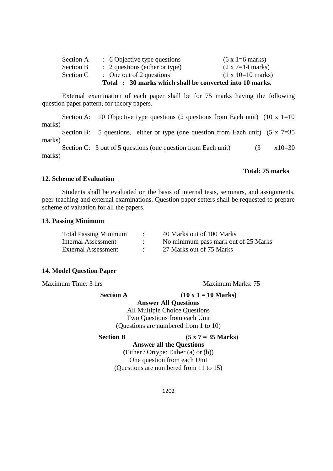|           | Total : 30 marks which shall be converted into 10 marks. |                                  |
|-----------|----------------------------------------------------------|----------------------------------|
| Section C | $\therefore$ One out of 2 questions                      | $(1 \times 10=10 \text{ marks})$ |
| Section B | $\therefore$ 2 questions (either or type)                | $(2 \times 7=14 \text{ marks})$  |
| Section A | : 6 Objective type questions                             | $(6 \times 1 = 6 \text{ marks})$ |

External examination of each paper shall be for 75 marks having the following question paper pattern, for theory papers.

Section A: 10 Objective type questions (2 questions from Each unit) (10 x 1=10) marks)

Section B: 5 questions, either or type (one question from Each unit)  $(5 \times 7=35)$ marks)

Section C: 3 out of 5 questions (one question from Each unit)  $(3 \times 10=30$ marks)

## **Total: 75 marks**

#### **12. Scheme of Evaluation**

Students shall be evaluated on the basis of internal tests, seminars, and assignments, peer-teaching and external examinations. Question paper setters shall be requested to prepare scheme of valuation for all the papers.

#### **13. Passing Minimum**

| <b>Total Passing Minimum</b> | 40 Marks out of 100 Marks            |
|------------------------------|--------------------------------------|
| Internal Assessment          | No minimum pass mark out of 25 Marks |
| <b>External Assessment</b>   | 27 Marks out of 75 Marks             |

#### **14. Model Question Paper**

Maximum Time: 3 hrs Maximum Marks: 75

**Section A**  $(10 \times 1 = 10 \text{ Marks})$ 

**Answer All Questions** All Multiple Choice Questions Two Questions from each Unit (Questions are numbered from 1 to 10)

```
Section B (5 x 7 = 35 Marks)
```
**Answer all the Questions**

**(**Either / Ortype: Either (a) or (b)) One question from each Unit (Questions are numbered from 11 to 15)

1202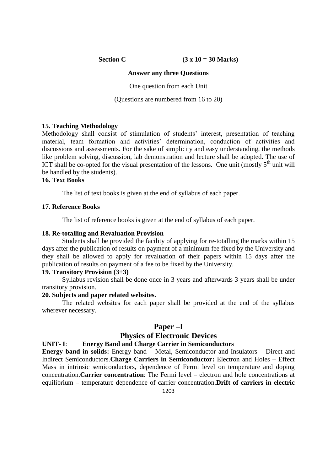**Section C** (3 x 10 = 30 Marks)

## **Answer any three Questions**

One question from each Unit

(Questions are numbered from 16 to 20)

## **15. Teaching Methodology**

Methodology shall consist of stimulation of students' interest, presentation of teaching material, team formation and activities' determination, conduction of activities and discussions and assessments. For the sake of simplicity and easy understanding, the methods like problem solving, discussion, lab demonstration and lecture shall be adopted. The use of ICT shall be co-opted for the visual presentation of the lessons. One unit (mostly  $5<sup>th</sup>$  unit will be handled by the students).

## **16. Text Books**

The list of text books is given at the end of syllabus of each paper.

## **17. Reference Books**

The list of reference books is given at the end of syllabus of each paper.

#### **18. Re-totalling and Revaluation Provision**

Students shall be provided the facility of applying for re-totalling the marks within 15 days after the publication of results on payment of a minimum fee fixed by the University and they shall be allowed to apply for revaluation of their papers within 15 days after the publication of results on payment of a fee to be fixed by the University.

## **19. Transitory Provision (3+3)**

Syllabus revision shall be done once in 3 years and afterwards 3 years shall be under transitory provision.

#### **20. Subjects and paper related websites.**

The related websites for each paper shall be provided at the end of the syllabus wherever necessary.

#### **Paper –I**

## **Physics of Electronic Devices**

#### **UNIT- I**: **Energy Band and Charge Carrier in Semiconductors**

**Energy band in solids:** Energy band – Metal, Semiconductor and Insulators – Direct and Indirect Semiconductors.**Charge Carriers in Semiconductor:** Electron and Holes – Effect Mass in intrinsic semiconductors, dependence of Fermi level on temperature and doping concentration.**Carrier concentration**: The Fermi level – electron and hole concentrations at equilibrium – temperature dependence of carrier concentration.**Drift of carriers in electric**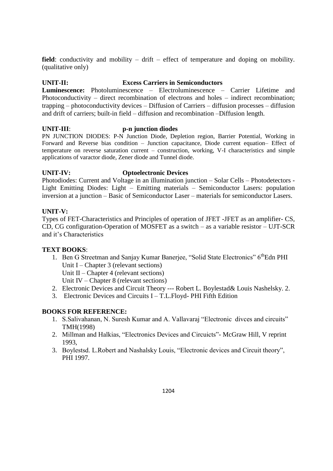field: conductivity and mobility – drift – effect of temperature and doping on mobility. (qualitative only)

## **UNIT-II: Excess Carriers in Semiconductors**

**Luminescence:** Photoluminescence – Electroluminescence – Carrier Lifetime and Photoconductivity – direct recombination of electrons and holes – indirect recombination; trapping – photoconductivity devices – Diffusion of Carriers – diffusion processes – diffusion and drift of carriers; built-in field – diffusion and recombination –Diffusion length.

## **UNIT-III**: **p-n junction diodes**

PN JUNCTION DIODES: P-N Junction Diode, Depletion region, Barrier Potential, Working in Forward and Reverse bias condition – Junction capacitance, Diode current equation– Effect of temperature on reverse saturation current – construction, working, V-I characteristics and simple applications of varactor diode, Zener diode and Tunnel diode.

## **UNIT-IV: Optoelectronic Devices**

Photodiodes: Current and Voltage in an illumination junction – Solar Cells – Photodetectors - Light Emitting Diodes: Light – Emitting materials – Semiconductor Lasers: population inversion at a junction – Basic of Semiconductor Laser – materials for semiconductor Lasers.

## **UNIT-V:**

Types of FET-Characteristics and Principles of operation of JFET -JFET as an amplifier- CS, CD, CG configuration-Operation of MOSFET as a switch – as a variable resistor – UJT-SCR and it's Characteristics

## **TEXT BOOKS**:

- 1. Ben G Streetman and Sanjay Kumar Banerjee, "Solid State Electronics" 6<sup>th</sup>Edn PHI Unit I – Chapter 3 (relevant sections) Unit  $II$  – Chapter 4 (relevant sections) Unit IV – Chapter 8 (relevant sections)
- 2. Electronic Devices and Circuit Theory --- Robert L. Boylestad& Louis Nashelsky. 2.
- 3. Electronic Devices and Circuits I T.L.Floyd- PHI Fifth Edition

## **BOOKS FOR REFERENCE:**

- 1. S.Salivahanan, N. Suresh Kumar and A. Vallavaraj "Electronic divces and circuits" TMH(1998)
- 2. Millman and Halkias, "Electronics Devices and Circuicts"- McGraw Hill, V reprint 1993,
- 3. Boylestsd. L.Robert and Nashalsky Louis, "Electronic devices and Circuit theory", PHI 1997.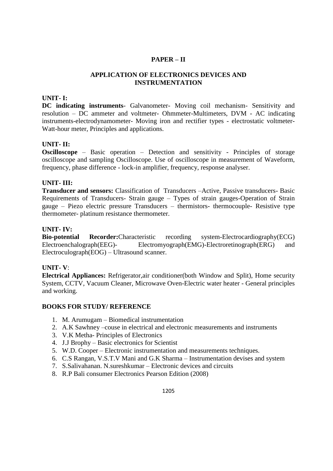## **PAPER – II**

## **APPLICATION OF ELECTRONICS DEVICES AND INSTRUMENTATION**

## **UNIT- I:**

**DC indicating instruments**- Galvanometer- Moving coil mechanism- Sensitivity and resolution – DC ammeter and voltmeter- Ohmmeter-Multimeters, DVM - AC indicating instruments-electrodynamometer- Moving iron and rectifier types - electrostatic voltmeter-Watt-hour meter, Principles and applications.

## **UNIT- II:**

**Oscilloscope** – Basic operation – Detection and sensitivity - Principles of storage oscilloscope and sampling Oscilloscope. Use of oscilloscope in measurement of Waveform, frequency, phase difference - lock-in amplifier, frequency, response analyser.

## **UNIT- III:**

**Transducer and sensors:** Classification of Transducers –Active, Passive transducers- Basic Requirements of Transducers- Strain gauge – Types of strain gauges-Operation of Strain gauge – Piezo electric pressure Transducers – thermistors- thermocouple- Resistive type thermometer- platinum resistance thermometer.

## **UNIT- IV:**

**Bio-potential Recorder:**Characteristic recording system-Electrocardiography(ECG) Electroenchalograph(EEG)-<br>Electromyograph(EMG)-Electroretinograph(ERG) and Electroculograph(EOG) – Ultrasound scanner.

## **UNIT- V**:

**Electrical Appliances:** Refrigerator,air conditioner(both Window and Split), Home security System, CCTV, Vacuum Cleaner, Microwave Oven-Electric water heater - General principles and working.

## **BOOKS FOR STUDY/ REFERENCE**

- 1. M. Arumugam Biomedical instrumentation
- 2. A.K Sawhney –couse in electrical and electronic measurements and instruments
- 3. V.K Metha- Principles of Electronics
- 4. J.J Brophy Basic electronics for Scientist
- 5. W.D. Cooper Electronic instrumentation and measurements techniques.
- 6. C.S Rangan, V.S.T.V Mani and G.K Sharma Instrumentation devises and system
- 7. S.Salivahanan. N.sureshkumar Electronic devices and circuits
- 8. R.P Bali consumer Electronics Pearson Edition (2008)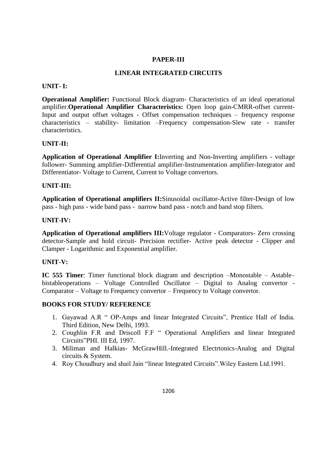## **PAPER-III**

## **LINEAR INTEGRATED CIRCUITS**

#### **UNIT- I:**

**Operational Amplifier:** Functional Block diagram- Characteristics of an ideal operational amplifier.**Operational Amplifier Characteristics:** Open loop gain-CMRR-offset current-Input and output offset voltages - Offset compensation techniques – frequency response characteristics – stability- limitation –Frequency compensation-Slew rate - transfer characteristics.

## **UNIT-II:**

**Application of Operational Amplifier I:**Inverting and Non-Inverting amplifiers - voltage follower- Summing amplifier-Differential amplifier-Instrumentation amplifier-Integrator and Differentiator- Voltage to Current, Current to Voltage convertors.

#### **UNIT-III:**

**Application of Operational amplifiers II:**Sinusoidal oscillator-Active filter-Design of low pass - high pass - wide band pass - narrow band pass - notch and band stop filters.

#### **UNIT-IV:**

**Application of Operational amplifiers III:**Voltage regulator - Comparators- Zero crossing detector-Sample and hold circuit- Precision rectifier- Active peak detector - Clipper and Clamper - Logarithmic and Exponential amplifier.

## **UNIT-V:**

**IC 555 Timer**: Timer functional block diagram and description –Monostable – Astable– bistableoperations – Voltage Controlled Oscillator – Digital to Analog convertor - Comparator – Voltage to Frequency convertor – Frequency to Voltage convertor.

## **BOOKS FOR STUDY/ REFERENCE**

- 1. Gayawad A.R " OP-Amps and linear Integrated Circuits", Prentice Hall of India. Third Edition, New Delhi, 1993.
- 2. Coughlin F.R and Driscoll F.F " Operational Amplifiers and linear Integrated Circuits"PHI. III Ed, 1997.
- 3. Miliman and Halkias- McGrawHill.-Integrated Electrtonics-Analog and Digital circuits & System.
- 4. Roy Choudhury and shail Jain "linear Integrated Circuits".Wiley Eastern Ltd.1991.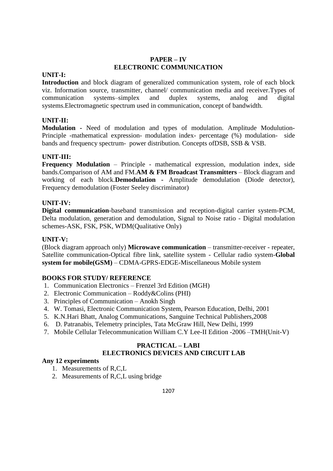## **PAPER – IV ELECTRONIC COMMUNICATION**

## **UNIT-I:**

**Introduction** and block diagram of generalized communication system, role of each block viz. Information source, transmitter, channel/ communication media and receiver.Types of communication systems–simplex and duplex systems, analog and digital systems.Electromagnetic spectrum used in communication, concept of bandwidth.

## **UNIT-II:**

**Modulation -** Need of modulation and types of modulation. Amplitude Modulution-Principle -mathematical expression- modulation index- percentage (%) modulation- side bands and frequency spectrum- power distribution. Concepts ofDSB, SSB & VSB.

## **UNIT-III:**

**Frequency Modulation** – Principle - mathematical expression, modulation index, side bands.Comparison of AM and FM.**AM & FM Broadcast Transmitters** – Block diagram and working of each block.**Demodulation -** Amplitude demodulation (Diode detector), Frequency demodulation (Foster Seeley discriminator)

## **UNIT-IV:**

**Digital communication**-baseband transmission and reception-digital carrier system-PCM, Delta modulation, generation and demodulation, Signal to Noise ratio - Digital modulation schemes-ASK, FSK, PSK, WDM(Qualitative Only)

## **UNIT-V:**

(Block diagram approach only) **Microwave communication** – transmitter-receiver - repeater, Satellite communication-Optical fibre link, satellite system - Cellular radio system-**Global system for mobile(GSM)** – CDMA-GPRS-EDGE-Miscellaneous Mobile system

## **BOOKS FOR STUDY/ REFERENCE**

- 1. Communication Electronics Frenzel 3rd Edition (MGH)
- 2. Electronic Communication Roddy&Colins (PHI)
- 3. Principles of Communication Anokh Singh
- 4. W. Tomasi, Electronic Communication System, Pearson Education, Delhi, 2001
- 5. K.N.Hari Bhatt, Analog Communications, Sanguine Technical Publishers,2008
- 6. D. Patranabis, Telemetry principles, Tata McGraw Hill, New Delhi, 1999
- 7. Mobile Cellular Telecommunication William C.Y Lee-II Edition -2006 –TMH(Unit-V)

## **PRACTICAL – LABI ELECTRONICS DEVICES AND CIRCUIT LAB**

## **Any 12 experiments**

- 1. Measurements of R,C,L
- 2. Measurements of R,C,L using bridge